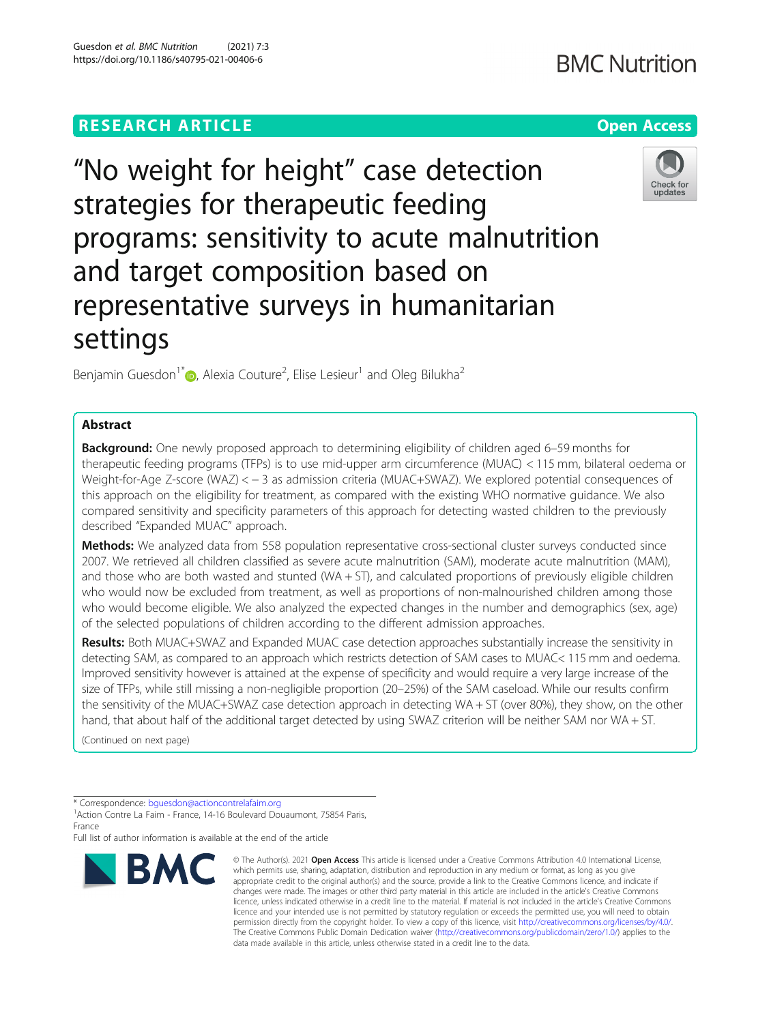# **RESEARCH ARTICLE Example 2014 12:30 The Contract of Contract ACCESS**

# "No weight for height" case detection strategies for therapeutic feeding programs: sensitivity to acute malnutrition and target composition based on representative surveys in humanitarian settings

Benjamin Guesdon<sup>1\*</sup> $\textcolor{red}{\bullet}$ [,](http://orcid.org/0000-0002-2876-0533) Alexia Couture<sup>2</sup>, Elise Lesieur<sup>1</sup> and Oleg Bilukha<sup>2</sup>

# Abstract

**Background:** One newly proposed approach to determining eligibility of children aged 6–59 months for therapeutic feeding programs (TFPs) is to use mid-upper arm circumference (MUAC) < 115 mm, bilateral oedema or Weight-for-Age Z-score (WAZ) < − 3 as admission criteria (MUAC+SWAZ). We explored potential consequences of this approach on the eligibility for treatment, as compared with the existing WHO normative guidance. We also compared sensitivity and specificity parameters of this approach for detecting wasted children to the previously described "Expanded MUAC" approach.

**Methods:** We analyzed data from 558 population representative cross-sectional cluster surveys conducted since 2007. We retrieved all children classified as severe acute malnutrition (SAM), moderate acute malnutrition (MAM), and those who are both wasted and stunted (WA + ST), and calculated proportions of previously eligible children who would now be excluded from treatment, as well as proportions of non-malnourished children among those who would become eligible. We also analyzed the expected changes in the number and demographics (sex, age) of the selected populations of children according to the different admission approaches.

Results: Both MUAC+SWAZ and Expanded MUAC case detection approaches substantially increase the sensitivity in detecting SAM, as compared to an approach which restricts detection of SAM cases to MUAC< 115 mm and oedema. Improved sensitivity however is attained at the expense of specificity and would require a very large increase of the size of TFPs, while still missing a non-negligible proportion (20–25%) of the SAM caseload. While our results confirm the sensitivity of the MUAC+SWAZ case detection approach in detecting WA + ST (over 80%), they show, on the other hand, that about half of the additional target detected by using SWAZ criterion will be neither SAM nor WA + ST.

(Continued on next page)

**BMC** 

© The Author(s), 2021 **Open Access** This article is licensed under a Creative Commons Attribution 4.0 International License, which permits use, sharing, adaptation, distribution and reproduction in any medium or format, as long as you give appropriate credit to the original author(s) and the source, provide a link to the Creative Commons licence, and indicate if changes were made. The images or other third party material in this article are included in the article's Creative Commons licence, unless indicated otherwise in a credit line to the material. If material is not included in the article's Creative Commons licence and your intended use is not permitted by statutory regulation or exceeds the permitted use, you will need to obtain permission directly from the copyright holder. To view a copy of this licence, visit [http://creativecommons.org/licenses/by/4.0/.](http://creativecommons.org/licenses/by/4.0/) The Creative Commons Public Domain Dedication waiver [\(http://creativecommons.org/publicdomain/zero/1.0/](http://creativecommons.org/publicdomain/zero/1.0/)) applies to the data made available in this article, unless otherwise stated in a credit line to the data.





<sup>\*</sup> Correspondence: [bguesdon@actioncontrelafaim.org](mailto:bguesdon@actioncontrelafaim.org) <sup>1</sup>

<sup>&</sup>lt;sup>1</sup> Action Contre La Faim - France, 14-16 Boulevard Douaumont, 75854 Paris, France

Full list of author information is available at the end of the article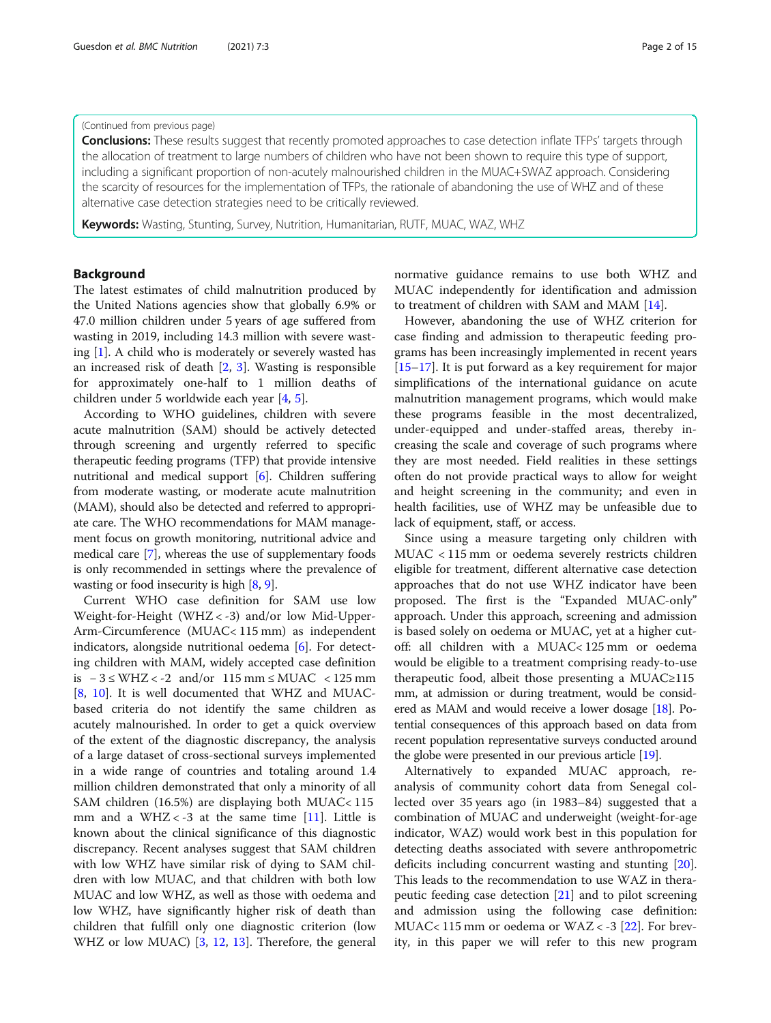# (Continued from previous page)

Conclusions: These results suggest that recently promoted approaches to case detection inflate TFPs' targets through the allocation of treatment to large numbers of children who have not been shown to require this type of support, including a significant proportion of non-acutely malnourished children in the MUAC+SWAZ approach. Considering the scarcity of resources for the implementation of TFPs, the rationale of abandoning the use of WHZ and of these alternative case detection strategies need to be critically reviewed.

Keywords: Wasting, Stunting, Survey, Nutrition, Humanitarian, RUTF, MUAC, WAZ, WHZ

# Background

The latest estimates of child malnutrition produced by the United Nations agencies show that globally 6.9% or 47.0 million children under 5 years of age suffered from wasting in 2019, including 14.3 million with severe wasting [\[1](#page-14-0)]. A child who is moderately or severely wasted has an increased risk of death [[2,](#page-14-0) [3\]](#page-14-0). Wasting is responsible for approximately one-half to 1 million deaths of children under 5 worldwide each year [[4,](#page-14-0) [5\]](#page-14-0).

According to WHO guidelines, children with severe acute malnutrition (SAM) should be actively detected through screening and urgently referred to specific therapeutic feeding programs (TFP) that provide intensive nutritional and medical support [\[6\]](#page-14-0). Children suffering from moderate wasting, or moderate acute malnutrition (MAM), should also be detected and referred to appropriate care. The WHO recommendations for MAM management focus on growth monitoring, nutritional advice and medical care [\[7\]](#page-14-0), whereas the use of supplementary foods is only recommended in settings where the prevalence of wasting or food insecurity is high [\[8,](#page-14-0) [9](#page-14-0)].

Current WHO case definition for SAM use low Weight-for-Height (WHZ < -3) and/or low Mid-Upper-Arm-Circumference (MUAC< 115 mm) as independent indicators, alongside nutritional oedema [[6](#page-14-0)]. For detecting children with MAM, widely accepted case definition is − 3 ≤ WHZ < -2 and/or 115 mm ≤ MUAC < 125 mm [[8,](#page-14-0) [10](#page-14-0)]. It is well documented that WHZ and MUACbased criteria do not identify the same children as acutely malnourished. In order to get a quick overview of the extent of the diagnostic discrepancy, the analysis of a large dataset of cross-sectional surveys implemented in a wide range of countries and totaling around 1.4 million children demonstrated that only a minority of all SAM children (16.5%) are displaying both MUAC< 115 mm and a WHZ < -3 at the same time  $[11]$  $[11]$ . Little is known about the clinical significance of this diagnostic discrepancy. Recent analyses suggest that SAM children with low WHZ have similar risk of dying to SAM children with low MUAC, and that children with both low MUAC and low WHZ, as well as those with oedema and low WHZ, have significantly higher risk of death than children that fulfill only one diagnostic criterion (low WHZ or low MUAC) [[3,](#page-14-0) [12](#page-14-0), [13\]](#page-14-0). Therefore, the general normative guidance remains to use both WHZ and MUAC independently for identification and admission to treatment of children with SAM and MAM [\[14](#page-14-0)].

However, abandoning the use of WHZ criterion for case finding and admission to therapeutic feeding programs has been increasingly implemented in recent years [[15](#page-14-0)–[17](#page-14-0)]. It is put forward as a key requirement for major simplifications of the international guidance on acute malnutrition management programs, which would make these programs feasible in the most decentralized, under-equipped and under-staffed areas, thereby increasing the scale and coverage of such programs where they are most needed. Field realities in these settings often do not provide practical ways to allow for weight and height screening in the community; and even in health facilities, use of WHZ may be unfeasible due to lack of equipment, staff, or access.

Since using a measure targeting only children with MUAC < 115 mm or oedema severely restricts children eligible for treatment, different alternative case detection approaches that do not use WHZ indicator have been proposed. The first is the "Expanded MUAC-only" approach. Under this approach, screening and admission is based solely on oedema or MUAC, yet at a higher cutoff: all children with a MUAC< 125 mm or oedema would be eligible to a treatment comprising ready-to-use therapeutic food, albeit those presenting a MUAC≥115 mm, at admission or during treatment, would be considered as MAM and would receive a lower dosage [[18](#page-14-0)]. Potential consequences of this approach based on data from recent population representative surveys conducted around the globe were presented in our previous article [[19](#page-14-0)].

Alternatively to expanded MUAC approach, reanalysis of community cohort data from Senegal collected over 35 years ago (in 1983–84) suggested that a combination of MUAC and underweight (weight-for-age indicator, WAZ) would work best in this population for detecting deaths associated with severe anthropometric deficits including concurrent wasting and stunting [\[20](#page-14-0)]. This leads to the recommendation to use WAZ in therapeutic feeding case detection [\[21\]](#page-14-0) and to pilot screening and admission using the following case definition: MUAC< 115 mm or oedema or WAZ <  $-3$  [[22](#page-14-0)]. For brevity, in this paper we will refer to this new program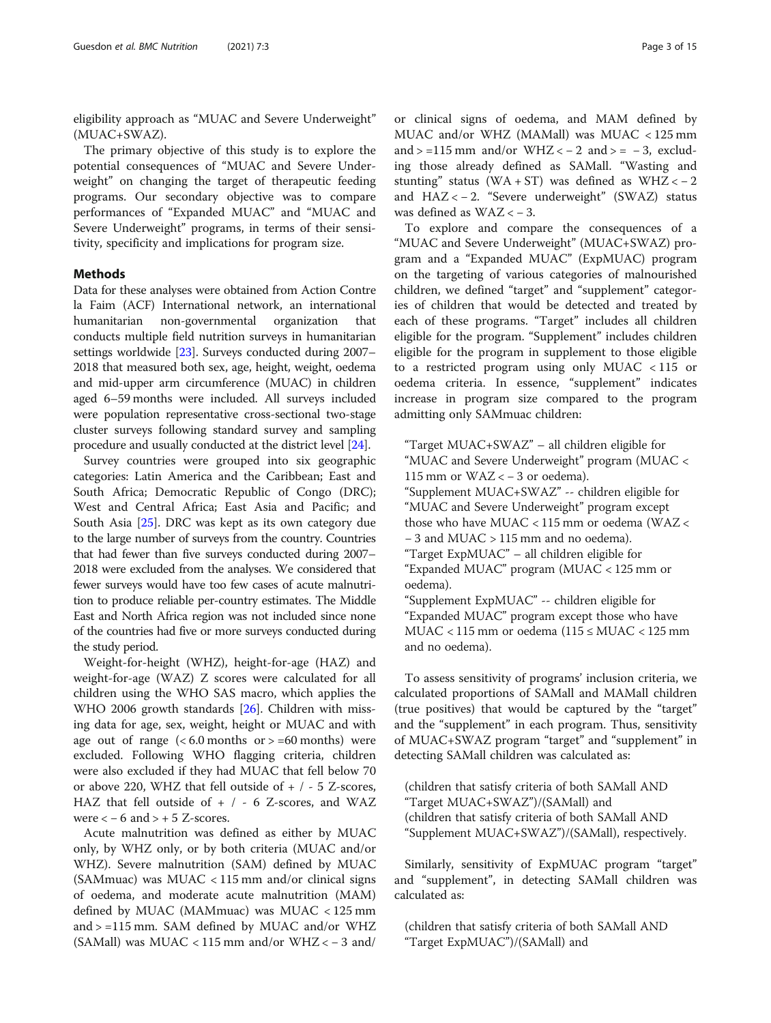eligibility approach as "MUAC and Severe Underweight" (MUAC+SWAZ).

The primary objective of this study is to explore the potential consequences of "MUAC and Severe Underweight" on changing the target of therapeutic feeding programs. Our secondary objective was to compare performances of "Expanded MUAC" and "MUAC and Severe Underweight" programs, in terms of their sensitivity, specificity and implications for program size.

# Methods

Data for these analyses were obtained from Action Contre la Faim (ACF) International network, an international humanitarian non-governmental organization that conducts multiple field nutrition surveys in humanitarian settings worldwide [\[23](#page-14-0)]. Surveys conducted during 2007– 2018 that measured both sex, age, height, weight, oedema and mid-upper arm circumference (MUAC) in children aged 6–59 months were included. All surveys included were population representative cross-sectional two-stage cluster surveys following standard survey and sampling procedure and usually conducted at the district level [[24](#page-14-0)].

Survey countries were grouped into six geographic categories: Latin America and the Caribbean; East and South Africa; Democratic Republic of Congo (DRC); West and Central Africa; East Asia and Pacific; and South Asia [[25\]](#page-14-0). DRC was kept as its own category due to the large number of surveys from the country. Countries that had fewer than five surveys conducted during 2007– 2018 were excluded from the analyses. We considered that fewer surveys would have too few cases of acute malnutrition to produce reliable per-country estimates. The Middle East and North Africa region was not included since none of the countries had five or more surveys conducted during the study period.

Weight-for-height (WHZ), height-for-age (HAZ) and weight-for-age (WAZ) Z scores were calculated for all children using the WHO SAS macro, which applies the WHO 2006 growth standards [\[26\]](#page-14-0). Children with missing data for age, sex, weight, height or MUAC and with age out of range  $( $6.0 \text{ months}$  or  $> =60 \text{ months}$ ) were$ excluded. Following WHO flagging criteria, children were also excluded if they had MUAC that fell below 70 or above 220, WHZ that fell outside of  $+$  / - 5 Z-scores, HAZ that fell outside of  $+$  / - 6 Z-scores, and WAZ were  $<-6$  and  $> +5$  Z-scores.

Acute malnutrition was defined as either by MUAC only, by WHZ only, or by both criteria (MUAC and/or WHZ). Severe malnutrition (SAM) defined by MUAC (SAMmuac) was MUAC < 115 mm and/or clinical signs of oedema, and moderate acute malnutrition (MAM) defined by MUAC (MAMmuac) was MUAC < 125 mm and > =115 mm. SAM defined by MUAC and/or WHZ (SAMall) was MUAC < 115 mm and/or WHZ <  $-$  3 and/ or clinical signs of oedema, and MAM defined by MUAC and/or WHZ (MAMall) was MUAC < 125 mm and  $> =115$  mm and/or WHZ  $<-2$  and  $>= -3$ , excluding those already defined as SAMall. "Wasting and stunting" status (WA + ST) was defined as WHZ <  $-2$ and HAZ < − 2. "Severe underweight" (SWAZ) status was defined as  $WAZ < -3$ .

To explore and compare the consequences of a "MUAC and Severe Underweight" (MUAC+SWAZ) program and a "Expanded MUAC" (ExpMUAC) program on the targeting of various categories of malnourished children, we defined "target" and "supplement" categories of children that would be detected and treated by each of these programs. "Target" includes all children eligible for the program. "Supplement" includes children eligible for the program in supplement to those eligible to a restricted program using only MUAC < 115 or oedema criteria. In essence, "supplement" indicates increase in program size compared to the program admitting only SAMmuac children:

"Target MUAC+SWAZ" – all children eligible for "MUAC and Severe Underweight" program (MUAC < 115 mm or WAZ < − 3 or oedema). "Supplement MUAC+SWAZ" -- children eligible for "MUAC and Severe Underweight" program except those who have MUAC < 115 mm or oedema (WAZ < − 3 and MUAC > 115 mm and no oedema). "Target ExpMUAC" – all children eligible for "Expanded MUAC" program (MUAC < 125 mm or oedema). "Supplement ExpMUAC" -- children eligible for "Expanded MUAC" program except those who have MUAC < 115 mm or oedema (115 ≤ MUAC < 125 mm

and no oedema).

To assess sensitivity of programs' inclusion criteria, we calculated proportions of SAMall and MAMall children (true positives) that would be captured by the "target" and the "supplement" in each program. Thus, sensitivity of MUAC+SWAZ program "target" and "supplement" in detecting SAMall children was calculated as:

(children that satisfy criteria of both SAMall AND "Target MUAC+SWAZ")/(SAMall) and (children that satisfy criteria of both SAMall AND "Supplement MUAC+SWAZ")/(SAMall), respectively.

Similarly, sensitivity of ExpMUAC program "target" and "supplement", in detecting SAMall children was calculated as:

(children that satisfy criteria of both SAMall AND "Target ExpMUAC")/(SAMall) and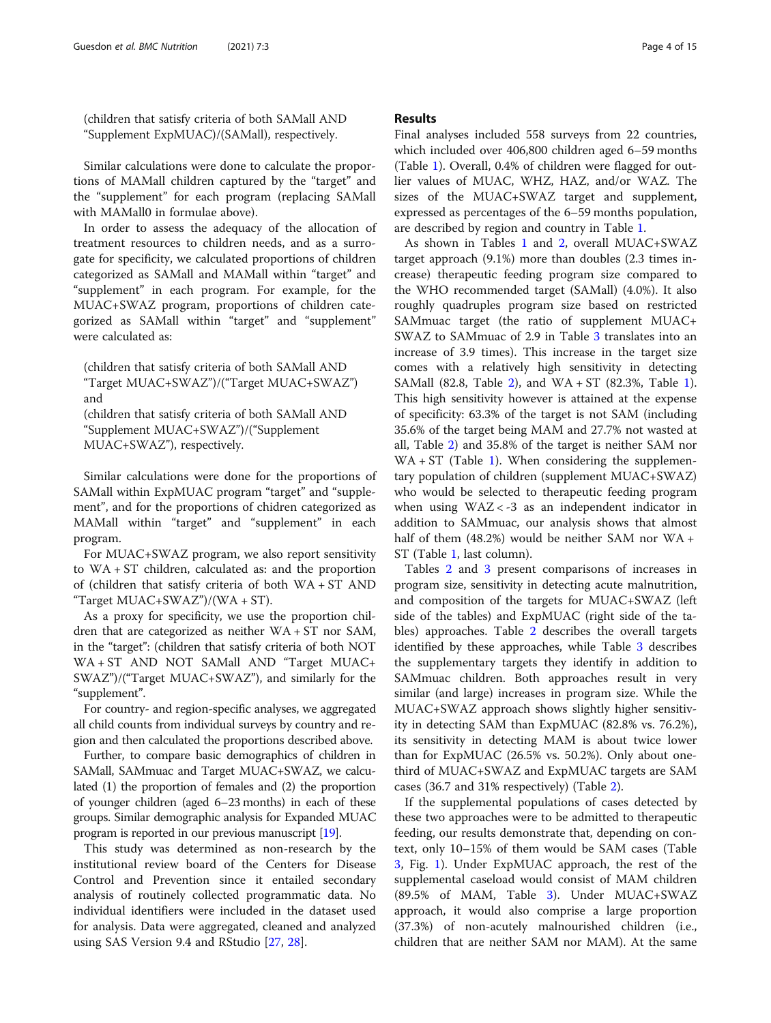(children that satisfy criteria of both SAMall AND "Supplement ExpMUAC)/(SAMall), respectively.

Similar calculations were done to calculate the proportions of MAMall children captured by the "target" and the "supplement" for each program (replacing SAMall with MAMall0 in formulae above).

In order to assess the adequacy of the allocation of treatment resources to children needs, and as a surrogate for specificity, we calculated proportions of children categorized as SAMall and MAMall within "target" and "supplement" in each program. For example, for the MUAC+SWAZ program, proportions of children categorized as SAMall within "target" and "supplement" were calculated as:

(children that satisfy criteria of both SAMall AND "Target MUAC+SWAZ")/("Target MUAC+SWAZ") and (children that satisfy criteria of both SAMall AND "Supplement MUAC+SWAZ")/("Supplement MUAC+SWAZ"), respectively.

Similar calculations were done for the proportions of SAMall within ExpMUAC program "target" and "supplement", and for the proportions of chidren categorized as MAMall within "target" and "supplement" in each program.

For MUAC+SWAZ program, we also report sensitivity to WA + ST children, calculated as: and the proportion of (children that satisfy criteria of both WA + ST AND "Target  $MUAC+SWAZ"$ )/(WA + ST).

As a proxy for specificity, we use the proportion children that are categorized as neither WA + ST nor SAM, in the "target": (children that satisfy criteria of both NOT WA + ST AND NOT SAMall AND "Target MUAC+ SWAZ")/("Target MUAC+SWAZ"), and similarly for the "supplement".

For country- and region-specific analyses, we aggregated all child counts from individual surveys by country and region and then calculated the proportions described above.

Further, to compare basic demographics of children in SAMall, SAMmuac and Target MUAC+SWAZ, we calculated (1) the proportion of females and (2) the proportion of younger children (aged 6–23 months) in each of these groups. Similar demographic analysis for Expanded MUAC program is reported in our previous manuscript [[19\]](#page-14-0).

This study was determined as non-research by the institutional review board of the Centers for Disease Control and Prevention since it entailed secondary analysis of routinely collected programmatic data. No individual identifiers were included in the dataset used for analysis. Data were aggregated, cleaned and analyzed using SAS Version 9.4 and RStudio [\[27](#page-14-0), [28](#page-14-0)].

# Results

Final analyses included 558 surveys from 22 countries, which included over 406,800 children aged 6–59 months (Table [1\)](#page-4-0). Overall, 0.4% of children were flagged for outlier values of MUAC, WHZ, HAZ, and/or WAZ. The sizes of the MUAC+SWAZ target and supplement, expressed as percentages of the 6–59 months population, are described by region and country in Table [1](#page-4-0).

As shown in Tables [1](#page-4-0) and [2,](#page-6-0) overall MUAC+SWAZ target approach (9.1%) more than doubles (2.3 times increase) therapeutic feeding program size compared to the WHO recommended target (SAMall) (4.0%). It also roughly quadruples program size based on restricted SAMmuac target (the ratio of supplement MUAC+ SWAZ to SAMmuac of 2.9 in Table [3](#page-8-0) translates into an increase of 3.9 times). This increase in the target size comes with a relatively high sensitivity in detecting SAMall (82.8, Table [2\)](#page-6-0), and WA + ST (82.3%, Table [1](#page-4-0)). This high sensitivity however is attained at the expense of specificity: 63.3% of the target is not SAM (including 35.6% of the target being MAM and 27.7% not wasted at all, Table [2](#page-6-0)) and 35.8% of the target is neither SAM nor  $WA + ST$  (Table [1\)](#page-4-0). When considering the supplementary population of children (supplement MUAC+SWAZ) who would be selected to therapeutic feeding program when using WAZ < -3 as an independent indicator in addition to SAMmuac, our analysis shows that almost half of them (48.2%) would be neither SAM nor WA + ST (Table [1](#page-4-0), last column).

Tables [2](#page-6-0) and [3](#page-8-0) present comparisons of increases in program size, sensitivity in detecting acute malnutrition, and composition of the targets for MUAC+SWAZ (left side of the tables) and ExpMUAC (right side of the tables) approaches. Table [2](#page-6-0) describes the overall targets identified by these approaches, while Table [3](#page-8-0) describes the supplementary targets they identify in addition to SAMmuac children. Both approaches result in very similar (and large) increases in program size. While the MUAC+SWAZ approach shows slightly higher sensitivity in detecting SAM than ExpMUAC (82.8% vs. 76.2%), its sensitivity in detecting MAM is about twice lower than for ExpMUAC (26.5% vs. 50.2%). Only about onethird of MUAC+SWAZ and ExpMUAC targets are SAM cases (36.7 and 31% respectively) (Table [2\)](#page-6-0).

If the supplemental populations of cases detected by these two approaches were to be admitted to therapeutic feeding, our results demonstrate that, depending on context, only 10–15% of them would be SAM cases (Table [3,](#page-8-0) Fig. [1\)](#page-10-0). Under ExpMUAC approach, the rest of the supplemental caseload would consist of MAM children (89.5% of MAM, Table [3](#page-8-0)). Under MUAC+SWAZ approach, it would also comprise a large proportion (37.3%) of non-acutely malnourished children (i.e., children that are neither SAM nor MAM). At the same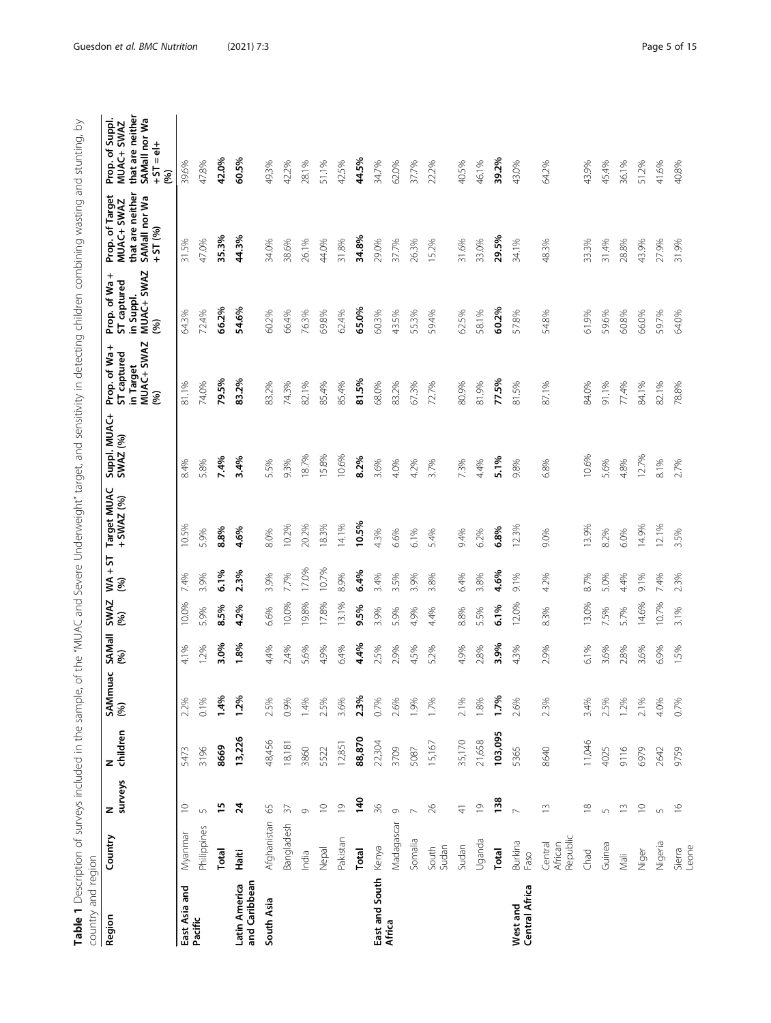<span id="page-4-0"></span>

| í<br>į<br>Į                                                         |                                                                                             |
|---------------------------------------------------------------------|---------------------------------------------------------------------------------------------|
| ກ<br>i<br>!                                                         |                                                                                             |
| $\frac{1}{2}$<br>٢                                                  |                                                                                             |
|                                                                     |                                                                                             |
| is 2011                                                             |                                                                                             |
|                                                                     |                                                                                             |
|                                                                     |                                                                                             |
| J<br>١<br>!                                                         |                                                                                             |
| j                                                                   |                                                                                             |
| י<br>ו<br>์)                                                        |                                                                                             |
| ;<br>l                                                              |                                                                                             |
| j                                                                   |                                                                                             |
| i<br>i<br>١                                                         |                                                                                             |
| グランリン<br>$+$ in $-$                                                 |                                                                                             |
| J                                                                   |                                                                                             |
|                                                                     |                                                                                             |
| ;<br>;                                                              |                                                                                             |
| $\overline{\phantom{a}}$<br>$\frac{1}{2}$                           |                                                                                             |
|                                                                     |                                                                                             |
| ここそころろ りょうしょう サクスメイキ                                                |                                                                                             |
| ;<br>}                                                              |                                                                                             |
| Ï<br>١                                                              |                                                                                             |
| j                                                                   |                                                                                             |
| j                                                                   |                                                                                             |
| $\overline{\phantom{a}}$<br>:                                       |                                                                                             |
| ソリンソコニ                                                              |                                                                                             |
| l<br>ļ                                                              |                                                                                             |
|                                                                     |                                                                                             |
| J                                                                   |                                                                                             |
| ١                                                                   |                                                                                             |
|                                                                     |                                                                                             |
|                                                                     |                                                                                             |
| i<br>Ī                                                              |                                                                                             |
| ו<br>ו                                                              |                                                                                             |
|                                                                     |                                                                                             |
| ニフリリフ                                                               |                                                                                             |
|                                                                     |                                                                                             |
|                                                                     |                                                                                             |
| :<br>,<br>,<br>;<br>j                                               |                                                                                             |
| j                                                                   |                                                                                             |
| $\frac{1}{2}$                                                       | $\mathbf$                                                                                   |
|                                                                     | ミミュ                                                                                         |
| . In Paccintian of curvave included in the seri<br>)<br>)<br>)<br>) |                                                                                             |
| Ĭ                                                                   | $\sim$                                                                                      |
| ءاماد                                                               | ֧֧֧֧֧֧֧ׅ֧֧֪֧֪֪֪֪֪֪֪֪֪֪֧֪֪֪֪֪֪֪֪֪֪֪֪֪ׅ֧֚֚֚֚֚֚֚֚֚֚֚֚֚֚֚֚֚֚֚֚֚֚֚֚֚֚֚֚֚֚֝֝֓֝֬֝֓֝֓֝֬֜֓֝֬֝֓֝<br>j |
| l                                                                   | )<br>)                                                                                      |

| control pue Anunco             |                                |                |               |                |                      |             |                   |                             |                          |                                                                |                                                                    |                                                                                |                                                                                           |
|--------------------------------|--------------------------------|----------------|---------------|----------------|----------------------|-------------|-------------------|-----------------------------|--------------------------|----------------------------------------------------------------|--------------------------------------------------------------------|--------------------------------------------------------------------------------|-------------------------------------------------------------------------------------------|
| Region                         | Country                        | N<br>surveys   | children<br>z | SAMmuac<br>(%) | <b>SAMall</b><br>(%) | SWAZ<br>(%) | $WAA + ST$<br>(%) | Target MUAC<br>$+$ SWAZ (%) | Suppl. MUAC+<br>SWAZ (%) | MUAC+ SWAZ<br>Prop. of Wa+<br>ST captured<br>in Target<br>(96) | MUAC+ SWAZ<br>+<br>Prop. of Wa<br>ST captured<br>in Suppl.<br>(96) | that are neither<br>Prop. of Target<br>SAMall nor Wa<br>MUAC+ SWAZ<br>$+51(%)$ | that are neither<br>SAMall nor Wa<br>Prop. of Suppl.<br>MUAC+ SWAZ<br>$+15 = 12 +$<br>(%) |
| East Asia and<br>Pacific       | Myanmar                        | $\supseteq$    | 5473          | 2.2%           | 4.1%                 | 10.0%       | 7.4%              | 10.5%                       | 8.4%                     | 81.1%                                                          | 64.3%                                                              | 31.5%                                                                          | 39.6%                                                                                     |
|                                | Philippines                    | 5              | 3196          | 0.1%           | 2%                   | 5.9%        | 3.9%              | 5.9%                        | 5.8%                     | 74.0%                                                          | 72.4%                                                              | 47.0%                                                                          | 47.8%                                                                                     |
|                                | Total                          | $\overline{1}$ | 8669          | 1.4%           | 3.0%                 | 8.5%        | 6.1%              | 8.8%                        | 7.4%                     | 79.5%                                                          | 66.2%                                                              | 35.3%                                                                          | 42.0%                                                                                     |
| and Caribbean<br>Latin America | Haiti                          | $\overline{2}$ | 13,226        | 1.2%           | 1.8%                 | 4.2%        | 2.3%              | 4.6%                        | 3.4%                     | 83.2%                                                          | 54.6%                                                              | 44.3%                                                                          | 60.5%                                                                                     |
| South Asia                     | Afghanistan                    | 65             | 48,456        | 2.5%           | 4.4%                 | 6.6%        | 3.9%              | 8.0%                        | 5.5%                     | 83.2%                                                          | 60.2%                                                              | 34.0%                                                                          | 49.3%                                                                                     |
|                                | Bangladesh                     | $\sqrt{5}$     | 18,181        | 0.9%           | 2.4%                 | 10.0%       | 7.7%              | 10.2%                       | 9.3%                     | 74.3%                                                          | 66.4%                                                              | 38.6%                                                                          | 42.2%                                                                                     |
|                                | India                          | $\circ$        | 3860          | 1.4%           | 5.6%                 | 19.8%       | 17.0%             | 20.2%                       | 18.7%                    | 82.1%                                                          | 76.3%                                                              | 26.1%                                                                          | 28.1%                                                                                     |
|                                | Nepal                          | $\supseteq$    | 5522          | 2.5%           | 4.9%                 | 17.8%       | 10.7%             | 18.3%                       | 15.8%                    | 85.4%                                                          | 69.8%                                                              | 44.0%                                                                          | 51.1%                                                                                     |
|                                | Pakistan                       | $\overline{0}$ | 12,851        | 3.6%           | 6.4%                 | 13.1%       | 8.9%              | 14.1%                       | 10.6%                    | 85.4%                                                          | 62.4%                                                              | 31.8%                                                                          | 42.5%                                                                                     |
|                                | Total                          | 140            | 88,870        | 2.3%           | 4.4%                 | 9.5%        | 6.4%              | 10.5%                       | 8.2%                     | 81.5%                                                          | 65.0%                                                              | 34.8%                                                                          | 44.5%                                                                                     |
| East and South                 | Kenya                          | $\frac{8}{3}$  | 22,304        | 0.7%           | 2.5%                 | 3.9%        | 3.4%              | 4.3%                        | 3.6%                     | 68.0%                                                          | 60.3%                                                              | 29.0%                                                                          | 34.7%                                                                                     |
| Africa                         | Madagascar                     | $\circ$        | 3709          | 2.6%           | 2.9%                 | 5.9%        | 3.5%              | 6.6%                        | 4.0%                     | 83.2%                                                          | 43.5%                                                              | 37.7%                                                                          | 62.0%                                                                                     |
|                                | Somalia                        |                | 5087          | 1.9%           | 4.5%                 | 4.9%        | 3.9%              | 6.1%                        | 4.2%                     | 67.3%                                                          | 55.3%                                                              | 26.3%                                                                          | 37.7%                                                                                     |
|                                | Sudan<br>South                 | $\geqslant$    | 15,167        | 1.7%           | 5.2%                 | 4.4%        | 3.8%              | 5.4%                        | 3.7%                     | 72.7%                                                          | 59.4%                                                              | 15.2%                                                                          | 22.2%                                                                                     |
|                                | Sudan                          | $\frac{4}{3}$  | 35,170        | 2.1%           | 4.9%                 | 8.8%        | 6.4%              | 9.4%                        | 7.3%                     | 80.9%                                                          | 62.5%                                                              | 31.6%                                                                          | 40.5%                                                                                     |
|                                | Uganda                         | $\overline{0}$ | 21,658        | 1.8%           | 2.8%                 | 5.5%        | 3.8%              | 6.2%                        | 4.4%                     | 81.9%                                                          | 58.1%                                                              | 33.0%                                                                          | 46.1%                                                                                     |
|                                | Total                          | 138            | 103,095       | 1.7%           | 3.9%                 | 6.1%        | 4.6%              | 6.8%                        | 5.1%                     | 77.5%                                                          | 60.2%                                                              | 29.5%                                                                          | 39.2%                                                                                     |
| West and<br>Central Africa     | Burkina<br>Faso                |                | 5365          | 2.6%           | 4.3%                 | 12.0%       | 9.1%              | 12.3%                       | 9.8%                     | 81.5%                                                          | 57.8%                                                              | 34.1%                                                                          | 43.0%                                                                                     |
|                                | Republic<br>Central<br>African | $\frac{1}{2}$  | 8640          | 2.3%           | 2.9%                 | 8.3%        | .2%<br>4.         | 9.0%                        | 6.8%                     | 87.1%                                                          | 54.8%                                                              | 48.3%                                                                          | 64.2%                                                                                     |
|                                | Chad                           | $\approx$      | 11,046        | 3.4%           | 6.1%                 | 13.0%       | 8.7%              | 13.9%                       | 10.6%                    | 84.0%                                                          | 61.9%                                                              | 33.3%                                                                          | 43.9%                                                                                     |
|                                | Guinea                         | $\sqrt{ }$     | 4025          | 2.5%           | 3.6%                 | 7.5%        | 5.0%              | 8.2%                        | 5.6%                     | 91.1%                                                          | 59.6%                                                              | 31.4%                                                                          | 45.4%                                                                                     |
|                                | Nali                           | $\Xi$          | 9116          | 1.2%           | 2.8%                 | 5.7%        | 4.4%              | 6.0%                        | 4.8%                     | 77.4%                                                          | 60.8%                                                              | 28.8%                                                                          | 36.1%                                                                                     |
|                                | Niger                          | $\supseteq$    | 6979          | 2.1%           | 3.6%                 | 14.6%       | 9.1%              | 14.9%                       | 12.7%                    | 84.1%                                                          | 66.0%                                                              | 43.9%                                                                          | 51.2%                                                                                     |
|                                | Nigeria                        | $\sqrt{2}$     | 2642          | 4.0%           | 6.9%                 | 10.7%       | 7.4%              | 12.1%                       | 8.1%                     | 82.1%                                                          | 59.7%                                                              | 27.9%                                                                          | 41.6%                                                                                     |
|                                | Leone<br>Sierra                | $\frac{8}{1}$  | 9759          | 0.7%           | 5%                   | 3.1%        | 2.3%              | 3.5%                        | 2.7%                     | 78.8%                                                          | 64.0%                                                              | 31.9%                                                                          | 40.8%                                                                                     |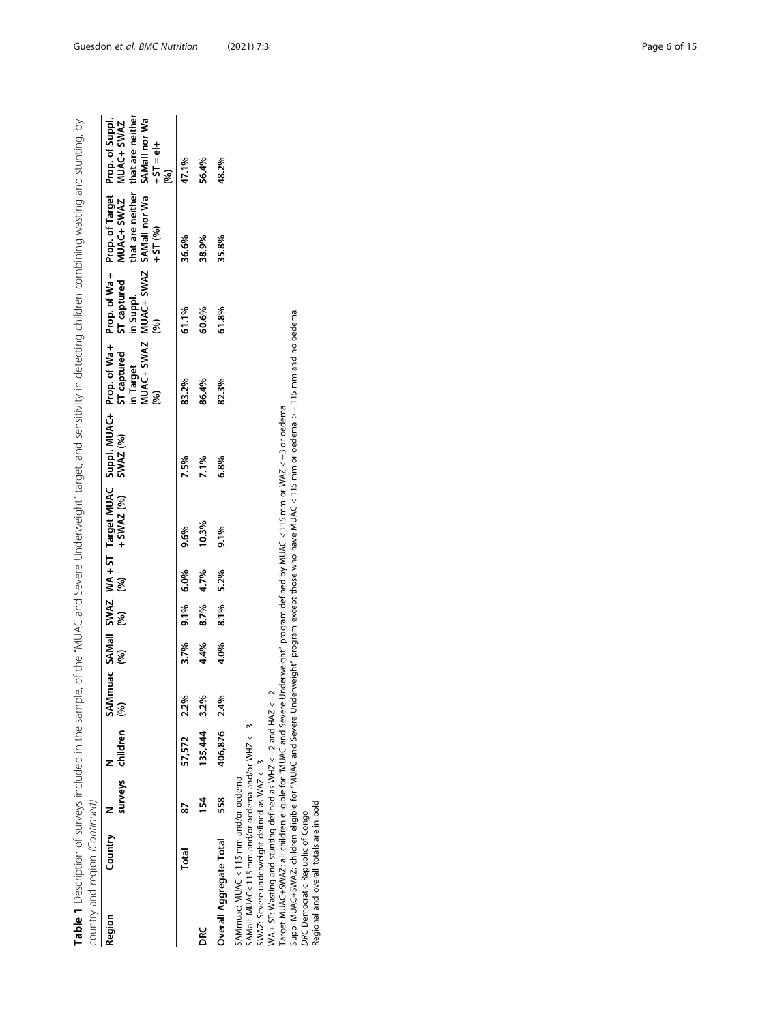| Table 1 Description of surveys included in the sample,                                                                                                                                                                                                                                             |         |     |                      |      |      |      |      |             |                                                                                                                                                                                                                                                                                        |                                             |                                                               | of the "NUAC and Severe Underweight" target, and sensitivity in detecting children combining wasting and stunting, by |                                                                                            |
|----------------------------------------------------------------------------------------------------------------------------------------------------------------------------------------------------------------------------------------------------------------------------------------------------|---------|-----|----------------------|------|------|------|------|-------------|----------------------------------------------------------------------------------------------------------------------------------------------------------------------------------------------------------------------------------------------------------------------------------------|---------------------------------------------|---------------------------------------------------------------|-----------------------------------------------------------------------------------------------------------------------|--------------------------------------------------------------------------------------------|
| country and region (Continued)                                                                                                                                                                                                                                                                     |         |     |                      |      |      |      |      |             |                                                                                                                                                                                                                                                                                        |                                             |                                                               |                                                                                                                       |                                                                                            |
| Region                                                                                                                                                                                                                                                                                             | Country |     | surveys children (%) |      | (%)  | (%)  | 96)  | +SWAZ $(%)$ | SAMmuac SAMall SWAZ WA+ST Target MUAC Suppl. MUAC+ Prop. of Wa+<br>SWAZ (%)                                                                                                                                                                                                            | MUAC+ SWAZ<br>ST captured<br>in Target<br>8 | MUAC+ SWAZ<br>Prop. of Wa+<br>ST captured<br>in Suppl.<br>(%) | Prop. of Target<br>that are neither<br>MUAC+ SWAZ<br>SAMall nor Wa<br>$+51(%)$                                        | that are neither<br>$SAMall nor Wa$<br>+ ST = el+<br>Prop. of Suppl.<br>MUAC+ SWAZ<br>(96) |
|                                                                                                                                                                                                                                                                                                    | Total   | 52  | 57,572 2.2%          |      | 3.7% | 9.1% | 6.0% | 9.6%        | 7.5%                                                                                                                                                                                                                                                                                   | 83.2%                                       | 61.1%                                                         | 36.6%                                                                                                                 | 47.1%                                                                                      |
| DRC                                                                                                                                                                                                                                                                                                |         | 154 | 135,444              | 3.2% | 4.4% | 8.7% | 4.7% | 10.3%       | 7.1%                                                                                                                                                                                                                                                                                   | 86.4%                                       | 60.6%                                                         | 38.9%                                                                                                                 | 56.4%                                                                                      |
| Overall Aggregate Total                                                                                                                                                                                                                                                                            |         | 558 | 406,876 2.4%         |      | 4.0% | 8.1% | 5.2% | 9.1%        | 6.8%                                                                                                                                                                                                                                                                                   | 82.3%                                       | 61.8%                                                         | 35.8%                                                                                                                 | 48.2%                                                                                      |
| WA + ST: Wasting and stunting defined as WHZ $<-2$ and HAZ $<-2$<br>SAMall: MUAC<115 mm and/or oedema and/or WHZ <-3<br>SWAZ: Severe underweight defined as WAZ <- 3<br>SAMmuac: MUAC < 115 mm and/or oedema<br>Regional and overall totals are in bold<br><b>DRC Democratic Republic of Congo</b> |         |     |                      |      |      |      |      |             | Suppl MUAC+SWAZ: children eligible for "MUAC and Severe Underweight" program except those who have MUAC < 115 mm or oederna >=115 mm and no oederna<br>Target MUAC+SWAZ: all children eligible for "MUAC and Severe Underweight" program defined by MUAC < 115 mm or WAZ <-3 or oedema |                                             |                                                               |                                                                                                                       |                                                                                            |

Guesdon et al. BMC Nutrition (2021) 7:3 Page 6 of 15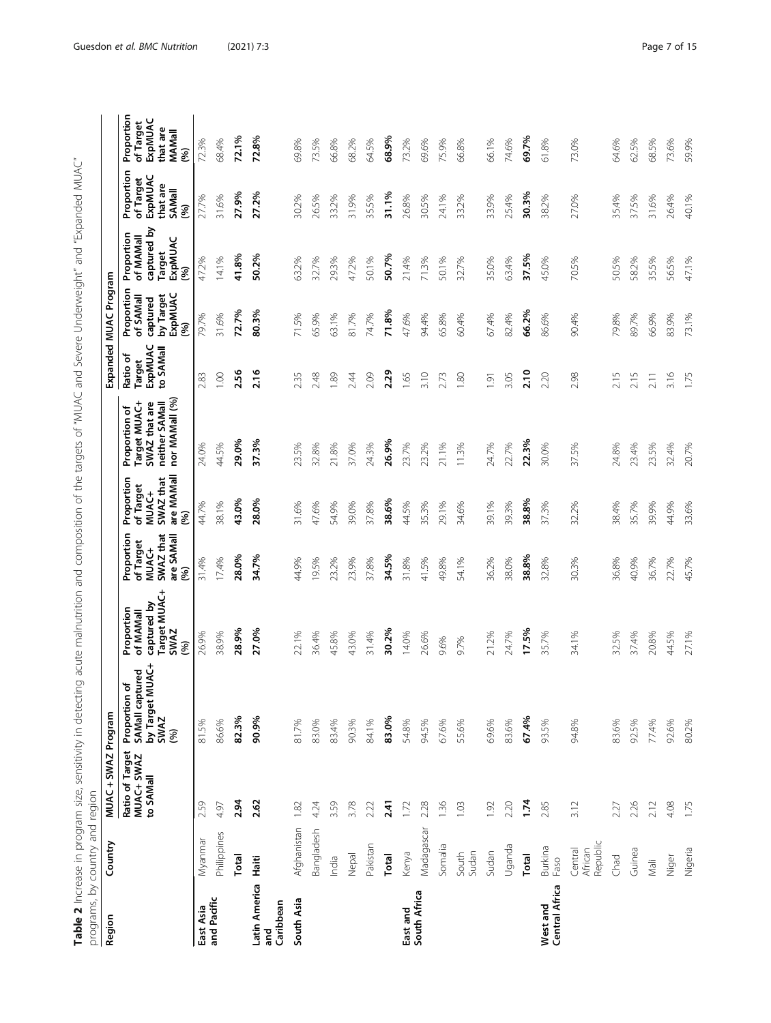Table 2 Increase in program size, sensitivity in detecting acute malnutrition and composition of the targets of "MUAC and Severe Underweight" and "Expanded MUAC" **Table 2** Increase in program size, sensitivity in detecting acute malnutrition and composition of the targets of "MUAC and Severe Underweight" and "Expanded MUAC"

<span id="page-6-0"></span>

| programs, by country and region   |                                |                                            |                                                                           |                                                                               |                                                                    |                                                                    |                                                                                    |                                            |                                                                     |                                                                  |                                                                        |                                                                  |
|-----------------------------------|--------------------------------|--------------------------------------------|---------------------------------------------------------------------------|-------------------------------------------------------------------------------|--------------------------------------------------------------------|--------------------------------------------------------------------|------------------------------------------------------------------------------------|--------------------------------------------|---------------------------------------------------------------------|------------------------------------------------------------------|------------------------------------------------------------------------|------------------------------------------------------------------|
| Region                            | Country                        | MUAC + SWAZ Program                        |                                                                           |                                                                               |                                                                    |                                                                    |                                                                                    |                                            | Expanded MUAC Program                                               |                                                                  |                                                                        |                                                                  |
|                                   |                                | Ratio of Target<br>MUAC+ SWAZ<br>to SAMall | by Target MUAC+<br>tured<br>৳<br>SAMall capt<br>Proportion<br>SWAZ<br>(%) | Target MUAC+<br>captured by<br>Proportion<br>of MAMall<br><b>SWAZ</b><br>(96) | Proportion<br>SWAZ that<br>are SAMall<br>of Target<br>MUAC+<br>(%) | are MAMall<br>SWAZ that<br>Proportion<br>of Target<br>MUAC+<br>(%) | nor MAMall (%)<br>Target MUAC+<br>SWAZ that are<br>neither SAMall<br>Proportion of | ExpMUAC<br>to SAMall<br>Ratio of<br>Target | Proportion<br>ExpMUAC<br>by Target<br>of SAMall<br>captured<br>(96) | captured by<br>Proportion<br>of MAMall<br>ExpMUAC<br>Target<br>8 | Proportion<br>ExpMUAC<br>of Target<br>that are<br><b>SAMall</b><br>(%) | Proportion<br>ExpMUAC<br>of Target<br>that are<br>MAMall<br>(96) |
| East Asia                         | Myanmar                        | 2.59                                       | 81.5%                                                                     | 26.9%                                                                         | 31.4%                                                              | 44.7%                                                              | 24.0%                                                                              | 2.83                                       | 79.7%                                                               | 47.2%                                                            | 27.7%                                                                  | 72.3%                                                            |
| and Pacific                       | Philippines                    | 4.97                                       | 86.6%                                                                     | 38.9%                                                                         | 17.4%                                                              | 38.1%                                                              | 44.5%                                                                              | 1.00                                       | 31.6%                                                               | 14.1%                                                            | 31.6%                                                                  | 68.4%                                                            |
|                                   | Total                          | 2.94                                       | 82.3%                                                                     | 28.9%                                                                         | 28.0%                                                              | 43.0%                                                              | 29.0%                                                                              | 2.56                                       | 72.7%                                                               | 41.8%                                                            | 27.9%                                                                  | 72.1%                                                            |
| Latin America<br>Caribbean<br>and | Haiti                          | 2.62                                       | 90.9%                                                                     | 27.0%                                                                         | 34.7%                                                              | 28.0%                                                              | 37.3%                                                                              | 2.16                                       | 80.3%                                                               | 50.2%                                                            | 27.2%                                                                  | 72.8%                                                            |
| South Asia                        | Afghanistan                    | 1.82                                       | 81.7%                                                                     | 22.1%                                                                         | 44.9%                                                              | 31.6%                                                              | 23.5%                                                                              | 2.35                                       | 71.5%                                                               | 63.2%                                                            | 30.2%                                                                  | 69.8%                                                            |
|                                   | Bangladesh                     | 4.24                                       | 83.0%                                                                     | 36.4%                                                                         | 19.5%                                                              | 47.6%                                                              | 32.8%                                                                              | 2.48                                       | 65.9%                                                               | 32.7%                                                            | 26.5%                                                                  | 73.5%                                                            |
|                                   | India                          | 3.59                                       | 83.4%                                                                     | 45.8%                                                                         | 23.2%                                                              | 54.9%                                                              | 21.8%                                                                              | 1.89                                       | 63.1%                                                               | 29.3%                                                            | 33.2%                                                                  | 66.8%                                                            |
|                                   | Nepal                          | 3.78                                       | 90.3%                                                                     | 43.0%                                                                         | 23.9%                                                              | 39.0%                                                              | 37.0%                                                                              | 2.44                                       | 81.7%                                                               | 47.2%                                                            | 31.9%                                                                  | 68.2%                                                            |
|                                   | Pakistan                       | 2.22                                       | 84.1%                                                                     | 31.4%                                                                         | 37.8%                                                              | 37.8%                                                              | 24.3%                                                                              | 2.09                                       | 74.7%                                                               | 50.1%                                                            | 35.5%                                                                  | 64.5%                                                            |
|                                   | Total                          | 2.41                                       | 83.0%                                                                     | 30.2%                                                                         | 34.5%                                                              | 38.6%                                                              | 26.9%                                                                              | 2.29                                       | 71.8%                                                               | 50.7%                                                            | 31.1%                                                                  | 68.9%                                                            |
| East and                          | Kenya                          | 1.72                                       | 54.8%                                                                     | 14.0%                                                                         | 31.8%                                                              | 44.5%                                                              | 23.7%                                                                              | 1.65                                       | 47.6%                                                               | 21.4%                                                            | 26.8%                                                                  | 73.2%                                                            |
| South Africa                      | Madagascar                     | 2.28                                       | 94.5%                                                                     | 26.6%                                                                         | 41.5%                                                              | 35.3%                                                              | 23.2%                                                                              | 3.10                                       | 94.4%                                                               | 71.3%                                                            | 30.5%                                                                  | 69.6%                                                            |
|                                   | Somalia                        | 1.36                                       | 67.6%                                                                     | 9.6%                                                                          | 49.8%                                                              | 29.1%                                                              | 21.1%                                                                              | 2.73                                       | 65.8%                                                               | 50.1%                                                            | 24.1%                                                                  | 75.9%                                                            |
|                                   | Sudan<br>South                 | 1.03                                       | 55.6%                                                                     | 9.7%                                                                          | 54.1%                                                              | 34.6%                                                              | 11.3%                                                                              | 1.80                                       | 60.4%                                                               | 32.7%                                                            | 33.2%                                                                  | 66.8%                                                            |
|                                   | Sudan                          | 1.92                                       | 69.6%                                                                     | 21.2%                                                                         | 36.2%                                                              | 39.1%                                                              | 24.7%                                                                              | 1.91                                       | 67.4%                                                               | 35.0%                                                            | 33.9%                                                                  | 66.1%                                                            |
|                                   | Uganda                         | 2.20                                       | 83.6%                                                                     | 24.7%                                                                         | 38.0%                                                              | 39.3%                                                              | 22.7%                                                                              | 3.05                                       | 82.4%                                                               | 63.4%                                                            | 25.4%                                                                  | 74.6%                                                            |
|                                   | Total                          | 1.74                                       | 67.4%                                                                     | 17.5%                                                                         | 38.8%                                                              | 38.8%                                                              | 22.3%                                                                              | 2.10                                       | 66.2%                                                               | 37.5%                                                            | 30.3%                                                                  | 69.7%                                                            |
| Central Africa<br>West and        | Burkina<br>Faso                | 2.85                                       | 93.5%                                                                     | 35.7%                                                                         | 32.8%                                                              | 37.3%                                                              | 30.0%                                                                              | 2.20                                       | 86.6%                                                               | 45.0%                                                            | 38.2%                                                                  | 61.8%                                                            |
|                                   | Republic<br>Central<br>African | 3.12                                       | 94.8%                                                                     | 34.1%                                                                         | 30.3%                                                              | 32.2%                                                              | 37.5%                                                                              | 2.98                                       | 90.4%                                                               | 70.5%                                                            | 27.0%                                                                  | 73.0%                                                            |
|                                   | Chad                           | 2.27                                       | 83.6%                                                                     | 32.5%                                                                         | 36.8%                                                              | 38.4%                                                              | 24.8%                                                                              | 2.15                                       | 79.8%                                                               | 50.5%                                                            | 35.4%                                                                  | 64.6%                                                            |
|                                   | Guinea                         | 2.26                                       | 92.5%                                                                     | 37.4%                                                                         | 40.9%                                                              | 35.7%                                                              | 23.4%                                                                              | 2.15                                       | 89.7%                                                               | 58.2%                                                            | 37.5%                                                                  | 62.5%                                                            |
|                                   | Mali                           | 2.12                                       | 77.4%                                                                     | 20.8%                                                                         | 36.7%                                                              | 39.9%                                                              | 23.5%                                                                              | 2.11                                       | 66.9%                                                               | 35.5%                                                            | 31.6%                                                                  | 68.5%                                                            |
|                                   | Niger                          | 4.08                                       | 92.6%                                                                     | 44.5%                                                                         | 22.7%                                                              | 44.9%                                                              | 32.4%                                                                              | 3.16                                       | 83.9%                                                               | 56.5%                                                            | 26.4%                                                                  | 73.6%                                                            |
|                                   | Nigeria                        | 1.75                                       | 80.2%                                                                     | 27.1%                                                                         | 45.7%                                                              | 33.6%                                                              | 20.7%                                                                              | 1.75                                       | 73.1%                                                               | 47.1%                                                            | 40.1%                                                                  | 59.9%                                                            |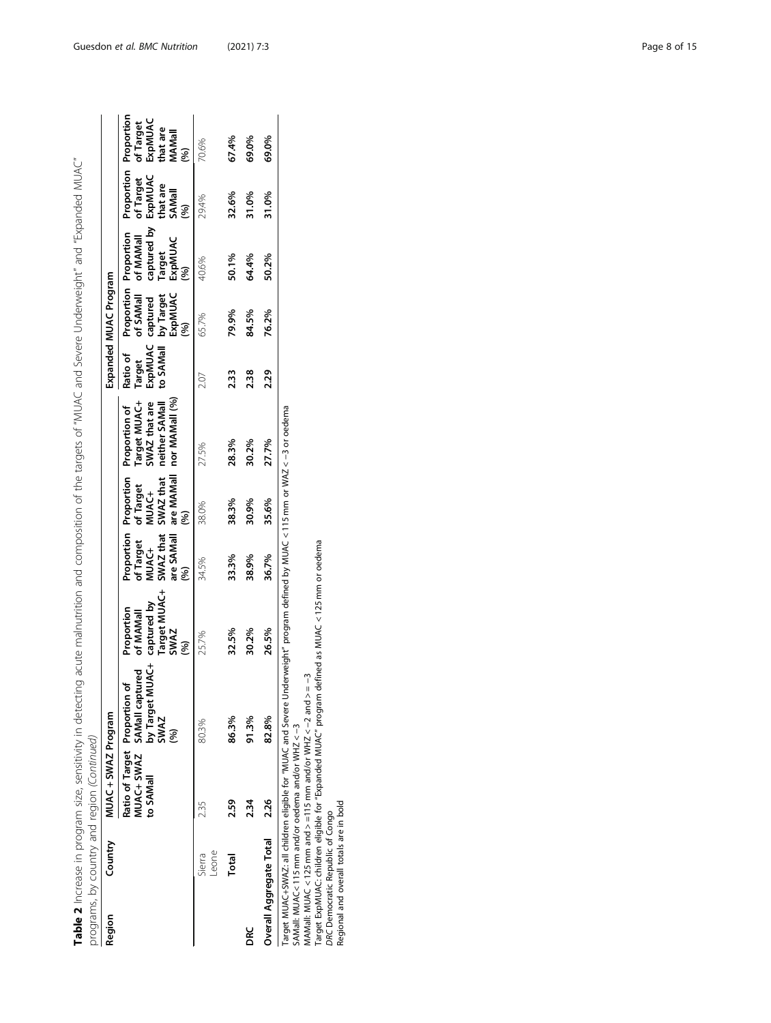| Table 2 Increase in program size, sensitivity in detecting acute malnutrition and composition of the targets of "MUAC and Severe Underweight" and "Expanded MUAC" |           |                     |                                                                                             |                                                                                  |                                                       |                                        |                                                                                                                     |                               |                                                                |                                                                                                                                               |                           |                                       |
|-------------------------------------------------------------------------------------------------------------------------------------------------------------------|-----------|---------------------|---------------------------------------------------------------------------------------------|----------------------------------------------------------------------------------|-------------------------------------------------------|----------------------------------------|---------------------------------------------------------------------------------------------------------------------|-------------------------------|----------------------------------------------------------------|-----------------------------------------------------------------------------------------------------------------------------------------------|---------------------------|---------------------------------------|
| programs, by country and region (Continued)                                                                                                                       |           |                     |                                                                                             |                                                                                  |                                                       |                                        |                                                                                                                     |                               |                                                                |                                                                                                                                               |                           |                                       |
| Country<br>Region                                                                                                                                                 |           | MUAC + SWAZ Program |                                                                                             |                                                                                  |                                                       |                                        |                                                                                                                     |                               | Expanded MUAC Program                                          |                                                                                                                                               |                           |                                       |
|                                                                                                                                                                   | to SAMall |                     | MUAC+<br>MUAC+ SWAZ SAMall captured<br>Ratio of Target Proportion of<br>by Target M<br>SWAZ | Target MUAC+<br>SWAZ<br><sup>(%)</sup><br>captured by<br>Proportion<br>of MAMall | SWAZ that<br>of Target<br>are SAMall<br>MUAC+<br>(96) | SWAZ that<br>of Target<br>MUAC+<br>(%) | are MAMall nor MAMall (%)<br>Target MUAC+<br>neither SAMall<br>SWAZ that are<br>Proportion Proportion Proportion of | ExpMUAC<br>Ratio of<br>Target | of SAMall<br>to SAMall by Target<br>ExpMUAC<br>(%)<br>captured | Proportion Proportion Proportion<br>of MAMall of Target of Target<br>captured by ExpMUAC<br>Proportion Proportion<br>Target<br>ExpMUAC<br>(%) | that are<br>SAMall<br>(%) | ExpMUAC<br>that are<br>MAMall<br>(96) |
| eone-<br>Sierra                                                                                                                                                   | 235       |                     | 80.3%                                                                                       | 25.7%                                                                            | 34.5%                                                 | 38.0%                                  | 27.5%                                                                                                               | 2.07                          | 65.7%                                                          | 40.6%                                                                                                                                         | 29.4%                     | 70.6%                                 |
| Total                                                                                                                                                             | 2.59      |                     | 86.3%                                                                                       | 32.5%                                                                            | 33.3%                                                 | 38.3%                                  | 28.3%                                                                                                               | 2.33                          | 79.9%                                                          | 50.1%                                                                                                                                         | 32.6%                     | 67.4%                                 |
| ă                                                                                                                                                                 | 2.34      |                     | 91.3%                                                                                       | 30.2%                                                                            | 38.9%                                                 | 30.9%                                  | 30.2%                                                                                                               | 2.38                          | 84.5%                                                          | 64.4%                                                                                                                                         | 31.0%                     | 69.0%                                 |
| Overall Aggregate Total                                                                                                                                           | 2.26      |                     | 82.8%                                                                                       | 26.5%                                                                            | 36.7%                                                 | 35.6%                                  | 27.7%                                                                                                               | 2.29                          | 76.2%                                                          | 50.2%                                                                                                                                         | 31.0%                     | 69.0%                                 |

ייע או או או איי או איי או איי או איי או איי או איי או איי או איי או איי או איי או איי או איי או איי או איי או<br>Target MUAC+3WAZ: all children eligible for "MUAC and Severe Underweight" program defined by MUAC < 115 mm or Target MUAC+SWAZ: all children eligible for "MUAC and Severe Underweight" program defined by MUAC < 115 mm or WAZ < −3 or oedema

SAMall: MUAC< 115 mm and/or oedema and/or WHZ < −3

MAMall: MUAC < 125 mm and > =115 mm and/or WHZ <  $-2$  and > =  $-3$ 

Target ExpMUAC: children eligible for "Expanded MUAC" program defined as MUAC < 125 mm or oedema

DRC Democratic Republic of Congo Regional and overall totals are in bold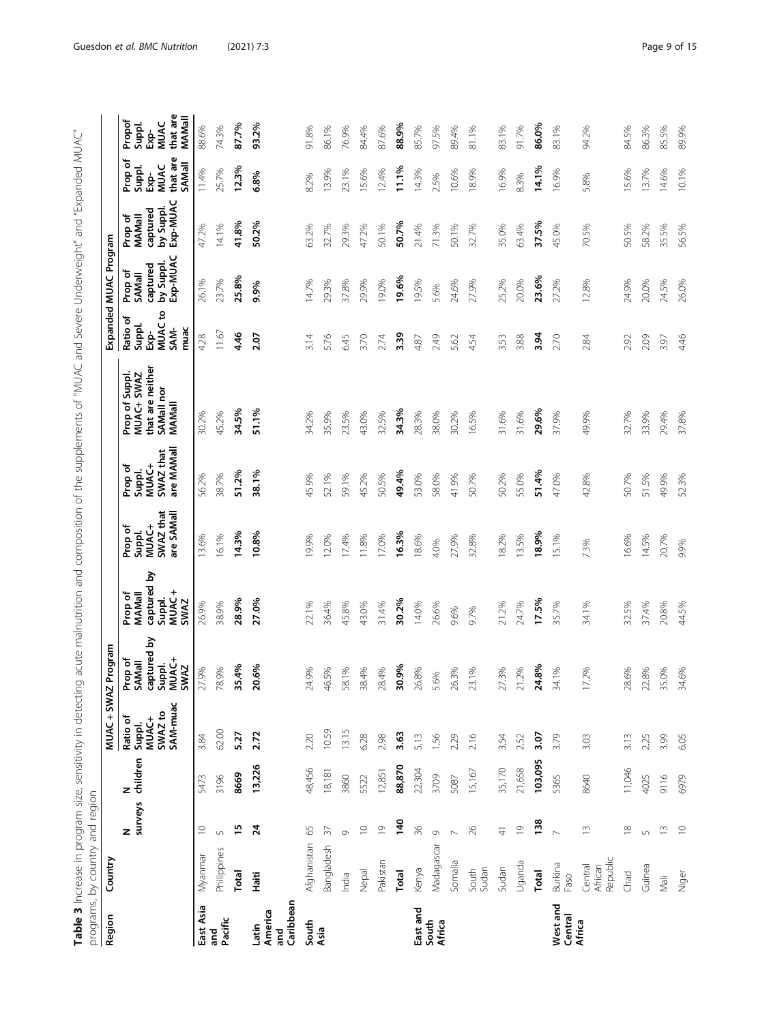| $\frac{1}{2}$<br>ā                                                                    |   |                                                               |
|---------------------------------------------------------------------------------------|---|---------------------------------------------------------------|
| ŧ                                                                                     |   |                                                               |
|                                                                                       |   |                                                               |
| ¢<br>l<br>J<br>l<br>Ĵ                                                                 |   |                                                               |
| ļ<br>j<br>                                                                            |   |                                                               |
| ì<br>ļ<br>ĺ                                                                           |   |                                                               |
| π<br>Σ<br>j                                                                           |   |                                                               |
| $\frac{1}{2}$<br>١                                                                    |   |                                                               |
| 5<br>֕                                                                                |   |                                                               |
| j                                                                                     |   |                                                               |
| i<br>j                                                                                |   |                                                               |
| 5<br>ī<br>$\overline{a}$<br>j                                                         |   |                                                               |
| i<br>Cre                                                                              |   |                                                               |
| こり ^ リー・コー                                                                            |   |                                                               |
| j<br>l                                                                                |   |                                                               |
| रे<br>l                                                                               |   |                                                               |
| 5<br>)<br>-<br>I                                                                      |   |                                                               |
| ١                                                                                     |   |                                                               |
|                                                                                       |   |                                                               |
| $\overline{ }$                                                                        |   |                                                               |
| -<br>1<br>1<br>1<br>$\begin{array}{c} \n\vdots \\ \vdots \\ \vdots\n\end{array}$<br>j |   |                                                               |
| i                                                                                     |   |                                                               |
| J<br>S<br>S<br>Ż                                                                      | Σ |                                                               |
| Ś<br>١                                                                                |   |                                                               |
| i<br>1                                                                                |   |                                                               |
|                                                                                       |   |                                                               |
| $-17$<br>$\overline{ }$                                                               |   |                                                               |
| j<br>j                                                                                |   |                                                               |
| 5<br>$\mathbf$<br>$\mathbf \zeta$<br>ž                                                |   |                                                               |
| Ş<br>$\frac{1}{2}$                                                                    |   |                                                               |
| $\frac{1}{2}$<br>٢                                                                    |   |                                                               |
| ١                                                                                     |   |                                                               |
| J                                                                                     |   |                                                               |
|                                                                                       |   |                                                               |
| ١                                                                                     |   |                                                               |
|                                                                                       |   |                                                               |
| .<br>)                                                                                |   |                                                               |
| j<br>J<br>J                                                                           |   |                                                               |
| irarting art                                                                          | ١ |                                                               |
| フラリリン                                                                                 |   |                                                               |
|                                                                                       |   |                                                               |
|                                                                                       |   |                                                               |
|                                                                                       |   |                                                               |
| į                                                                                     |   |                                                               |
|                                                                                       |   |                                                               |
| I<br>j                                                                                |   |                                                               |
| うりり                                                                                   |   |                                                               |
|                                                                                       |   |                                                               |
| ١                                                                                     |   |                                                               |
|                                                                                       |   |                                                               |
|                                                                                       |   | į                                                             |
| j                                                                                     |   | $\frac{1}{2}$                                                 |
| ł<br>J                                                                                |   | .<br>.                                                        |
| $\tilde{\mathbf{z}}$                                                                  |   |                                                               |
|                                                                                       |   | こく いくこうしょく                                                    |
| s plus<br>5                                                                           |   | ֖֖֖֖֖֖֖֖֧ׅ֖֧֪֪ׅ֖֧ׅ֧֪֪֪֪֪֧֚֚֚֚֚֚֚֚֚֚֚֚֚֚֚֚֚֚֚֚֚֡֬֝֓֬֝֓֞֓֞֝֬֓֞֝ |
| I                                                                                     |   |                                                               |

<span id="page-8-0"></span>

|                                         | programs, by country and region |                          |               |                                                    |                                                                      |                                                             |                                                       |                                                       |                                                                         |                                                                |                                                               |                                                        |                                                         |                                                              |
|-----------------------------------------|---------------------------------|--------------------------|---------------|----------------------------------------------------|----------------------------------------------------------------------|-------------------------------------------------------------|-------------------------------------------------------|-------------------------------------------------------|-------------------------------------------------------------------------|----------------------------------------------------------------|---------------------------------------------------------------|--------------------------------------------------------|---------------------------------------------------------|--------------------------------------------------------------|
| Region                                  | Country                         |                          |               | MUAC+SW                                            | AZ Program                                                           |                                                             |                                                       |                                                       |                                                                         |                                                                | Expanded MUAC Program                                         |                                                        |                                                         |                                                              |
|                                         |                                 | N<br>surveys             | children<br>z | SAM-muac<br>SWAZ to<br>Ratio of<br>MUAC+<br>Suppl. | <u>ځ</u><br>captured<br>Suppl.<br>MUAC+<br>Prop of<br>SAMall<br>SWAZ | captured by<br>Suppl.<br>MUAC+<br>Prop of<br>MAMall<br>SWAZ | SWAZ that<br>are SAMall<br>MUAC+<br>Prop of<br>Suppl. | are MAMall<br>SWAZ that<br>MUAC+<br>Prop of<br>Suppl. | that are neither<br>MUAC+ SWAZ<br>Prop of Suppl<br>SAMall nor<br>MAMall | S<br>Ratio of<br><b>MUAC</b><br>Suppl.<br>muac<br>SAM-<br>Ėxp- | by Suppl.<br>Exp-MUAC<br>captured<br>Prop of<br><b>SAMall</b> | by Suppl.<br>Exp-MUAC<br>captured<br>Prop of<br>MAMall | that are<br>Prop of<br>SAMall<br>EXP-<br>MUAC<br>Suppl. | that are<br>MAMall<br>Propof<br><b>MUAC</b><br>Suppl.<br>Бģ- |
| East Asia                               | Myanmar                         | $\supseteq$              | 5473          | 3.84                                               | 27.9%                                                                | 26.9%                                                       | 13.6%                                                 | 56.2%                                                 | 30.2%                                                                   | 4.28                                                           | 26.1%                                                         | 47.2%                                                  | 11.4%                                                   | 88.6%                                                        |
| Pacific<br>and<br>ā                     | Philippines                     | $\cup$                   | 3196          | 62.00                                              | 78.9%                                                                | 38.9%                                                       | 16.1%                                                 | 38.7%                                                 | 45.2%                                                                   | 11.67                                                          | 23.7%                                                         | 14.1%                                                  | 25.7%                                                   | 74.3%                                                        |
|                                         | Total                           | $\frac{15}{2}$           | 8669          | 5.27                                               | 35.4%                                                                | 28.9%                                                       | 14.3%                                                 | 51.2%                                                 | 34.5%                                                                   | 4.46                                                           | 25.8%                                                         | 41.8%                                                  | 12.3%                                                   | 87.7%                                                        |
| Caribbean<br>America<br>Latin<br>ត<br>ត | Haiti                           | 24                       | 13,226        | 2.72                                               | 20.6%                                                                | 27.0%                                                       | 10.8%                                                 | 38.1%                                                 | 51.1%                                                                   | 2.07                                                           | 9.9%                                                          | 50.2%                                                  | 6.8%                                                    | 93.2%                                                        |
| South                                   | Afghanistan                     | 65                       | 48,456        | 2.20                                               | 24.9%                                                                | 22.1%                                                       | 9.9%                                                  | 45.9%                                                 | 34.2%                                                                   | 3.14                                                           | 14.7%                                                         | 63.2%                                                  | 8.2%                                                    | 91.8%                                                        |
| Asia                                    | Bangladesh                      | $\overline{\mathcal{E}}$ | 18,181        | 10.59                                              | 46.5%                                                                | 36.4%                                                       | 12.0%                                                 | 52.1%                                                 | 35.9%                                                                   | 5.76                                                           | 29.3%                                                         | 32.7%                                                  | 13.9%                                                   | 86.1%                                                        |
|                                         | India                           | $\circ$                  | 3860          | 13.15                                              | 58.1%                                                                | 45.8%                                                       | 17.4%                                                 | 59.1%                                                 | 23.5%                                                                   | 6.45                                                           | 37.8%                                                         | 29.3%                                                  | 23.1%                                                   | 76.9%                                                        |
|                                         | Nepal                           | $\supseteq$              | 5522          | 6.28                                               | 38.4%                                                                | 43.0%                                                       | 11.8%                                                 | 45.2%                                                 | 43.0%                                                                   | 3.70                                                           | 29.9%                                                         | 47.2%                                                  | 15.6%                                                   | 84.4%                                                        |
|                                         | Pakistan                        | $\overline{0}$           | 12,851        | 2.98                                               | 28.4%                                                                | 31.4%                                                       | 17.0%                                                 | 50.5%                                                 | 32.5%                                                                   | 2.74                                                           | 19.0%                                                         | 50.1%                                                  | 12.4%                                                   | 87.6%                                                        |
|                                         | Total                           | 140                      | 88,870        | 3.63                                               | 30.9%                                                                | 30.2%                                                       | 16.3%                                                 | 49.4%                                                 | 34.3%                                                                   | 3.39                                                           | 19.6%                                                         | 50.7%                                                  | 11.1%                                                   | 88.9%                                                        |
| East and                                | Kenya                           | 36                       | 22,304        | 5.13                                               | 26.8%                                                                | 14.0%                                                       | 18.6%                                                 | 53.0%                                                 | 28.3%                                                                   | 4.87                                                           | 19.5%                                                         | 21.4%                                                  | 14.3%                                                   | 85.7%                                                        |
| South<br>Africa                         | Madagascar                      | $\circ$                  | 3709          | 1.56                                               | 5.6%                                                                 | 26.6%                                                       | 4.0%                                                  | 58.0%                                                 | 38.0%                                                                   | 2.49                                                           | 5.6%                                                          | 71.3%                                                  | 2.5%                                                    | 97.5%                                                        |
|                                         | Somalia                         |                          | 5087          | 2.29                                               | 26.3%                                                                | 9.6%                                                        | 27.9%                                                 | 41.9%                                                 | 30.2%                                                                   | 5.62                                                           | 24.6%                                                         | 50.1%                                                  | 10.6%                                                   | 89.4%                                                        |
|                                         | Sudan<br>South                  | 26                       | 15,167        | 2.16                                               | 23.1%                                                                | 9.7%                                                        | 32.8%                                                 | 50.7%                                                 | 16.5%                                                                   | 54<br>4.                                                       | 27.9%                                                         | 32.7%                                                  | 18.9%                                                   | 81.1%                                                        |
|                                         | Sudan                           | $\frac{4}{5}$            | 35,170        | 3.54                                               | 27.3%                                                                | 21.2%                                                       | 18.2%                                                 | 50.2%                                                 | 31.6%                                                                   | 3.53                                                           | 25.2%                                                         | 35.0%                                                  | 16.9%                                                   | 83.1%                                                        |
|                                         | Uganda                          | $\overline{0}$           | 21,658        | 2.52                                               | 21.2%                                                                | 24.7%                                                       | 13.5%                                                 | 55.0%                                                 | 31.6%                                                                   | 3.88                                                           | 20.0%                                                         | 63.4%                                                  | 8.3%                                                    | 91.7%                                                        |
|                                         | Total                           | 138                      | 103,095       | 3.07                                               | 24.8%                                                                | 17.5%                                                       | 18.9%                                                 | 51.4%                                                 | 29.6%                                                                   | 3.94                                                           | 23.6%                                                         | 37.5%                                                  | 14.1%                                                   | 86.0%                                                        |
| West and<br>Central                     | Burkina<br>Faso                 | $\overline{\phantom{0}}$ | 5365          | 3.79                                               | 34.1%                                                                | 35.7%                                                       | 15.1%                                                 | 47.0%                                                 | 37.9%                                                                   | 2.70                                                           | 27.2%                                                         | 45.0%                                                  | 16.9%                                                   | 83.1%                                                        |
| Africa                                  | Republic<br>African<br>Central  | $\widetilde{\Box}$       | 8640          | 3.03                                               | 17.2%                                                                | 34.1%                                                       | 7.3%                                                  | 42.8%                                                 | 49.9%                                                                   | 2.84                                                           | 12.8%                                                         | 70.5%                                                  | 5.8%                                                    | 94.2%                                                        |
|                                         | Chad                            | $\approx$                | 11,046        | 3.13                                               | 28.6%                                                                | 32.5%                                                       | 16.6%                                                 | 50.7%                                                 | 32.7%                                                                   | 2.92                                                           | 24.9%                                                         | 50.5%                                                  | 15.6%                                                   | 84.5%                                                        |
|                                         | Guinea                          | $\overline{5}$           | 4025          | 2.25                                               | 22.8%                                                                | 37.4%                                                       | 14.5%                                                 | 51.5%                                                 | 33.9%                                                                   | 2.09                                                           | 20.0%                                                         | 58.2%                                                  | 13.7%                                                   | 86.3%                                                        |
|                                         | Nali                            | $\widetilde{\Box}$       | 9116          | 3.99                                               | 35.0%                                                                | 20.8%                                                       | 20.7%                                                 | 49.9%                                                 | 29.4%                                                                   | 3.97                                                           | 24.5%                                                         | 35.5%                                                  | 14.6%                                                   | 85.5%                                                        |
|                                         | Niger                           | $\supseteq$              | 6979          | 6.05                                               | 34.6%                                                                | 44.5%                                                       | 9.9%                                                  | 52.3%                                                 | 37.8%                                                                   | 4.46                                                           | 26.0%                                                         | 56.5%                                                  | 10.1%                                                   | 89.9%                                                        |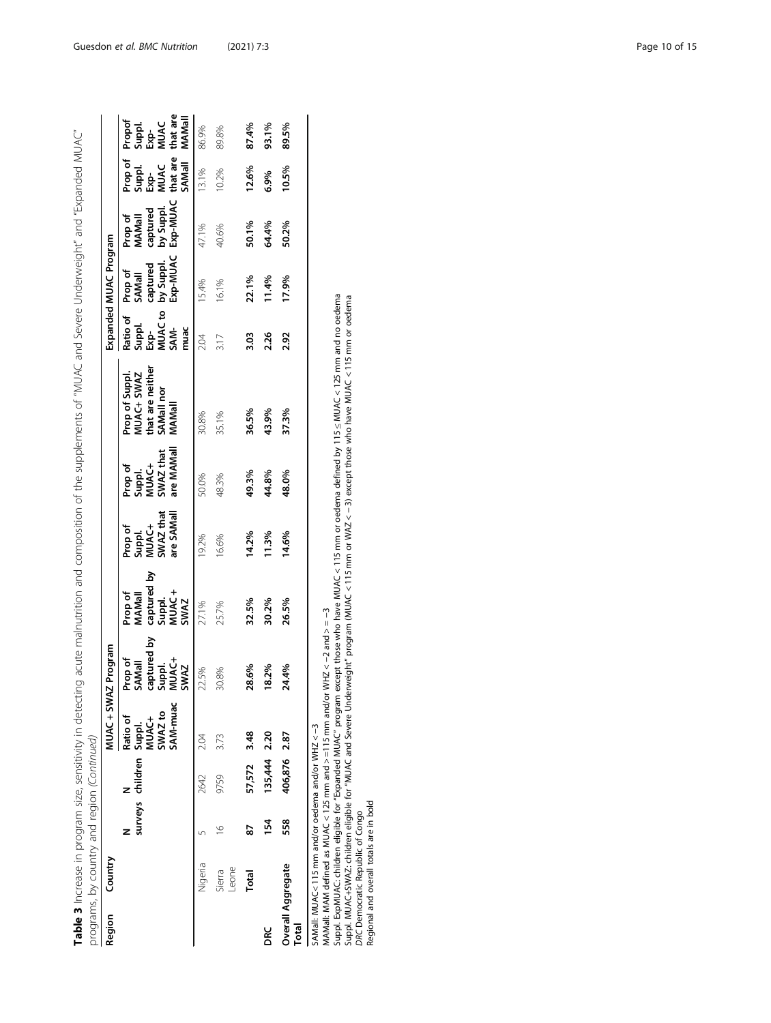|                            | programs, by country and region (Continued)                                                                                     |                |                  |                                                               |                                                                               |                                                             |                                                       |                                                       | Table 3 Increase in program size, sensitivity in detecting acute malnutrition and composition of the supplements of "MUAC and Severe Underweight" and "Expanded MUAC"                                                                                      |                                                     |                                                        |                                                        |                                                                |                                                                       |
|----------------------------|---------------------------------------------------------------------------------------------------------------------------------|----------------|------------------|---------------------------------------------------------------|-------------------------------------------------------------------------------|-------------------------------------------------------------|-------------------------------------------------------|-------------------------------------------------------|------------------------------------------------------------------------------------------------------------------------------------------------------------------------------------------------------------------------------------------------------------|-----------------------------------------------------|--------------------------------------------------------|--------------------------------------------------------|----------------------------------------------------------------|-----------------------------------------------------------------------|
| Region                     | Country                                                                                                                         |                |                  | MUAC+SWAZ Program                                             |                                                                               |                                                             |                                                       |                                                       |                                                                                                                                                                                                                                                            |                                                     | Expanded MUAC Program                                  |                                                        |                                                                |                                                                       |
|                            |                                                                                                                                 |                | surveys children | SAM-muac<br>SWAZ to<br>Ratio of<br>Suppl.<br>MUAC+            | captured by<br>Prop of<br><b>CHAC+</b><br>SAMall<br>Suppl.<br><b>SWAZ</b>     | captured by<br>MUAC+<br>Prop of<br>MAMall<br>Suppl.<br>SWAZ | SWAZ that<br>are SAMall<br>Suppl.<br>MUAC+<br>Prop of | are MAMall<br>SWAZ that<br>Suppl.<br>MUAC+<br>Prop of | that are neither<br>Prop of Suppl.<br>MUAC+ SWAZ<br>SAMall nor<br>MAMal                                                                                                                                                                                    | MUAC to<br>Ratio of<br>Suppl.<br>SAM-<br>muac<br>Ėx | Exp-MUAC<br>by Suppl.<br>captured<br>Prop of<br>SAMall | Exp-MUAC<br>by Suppl.<br>captured<br>Prop of<br>MAMall | that are<br>Prop of<br>SAMall<br>Suppl.<br>EXP<br>MUAC<br>MUAC | that are<br>MAMall<br>Propof<br>Suppl.<br><b>MUAC</b><br>$\mathbf{g}$ |
|                            | Nigeria                                                                                                                         |                | 2642             | 2.04                                                          | 22.5%                                                                         | 27.1%                                                       | 19.2%                                                 | 50.0%                                                 | 30.8%                                                                                                                                                                                                                                                      | 2.04                                                | 15.4%                                                  | 47.1%                                                  | 13.1%                                                          | 86.9%                                                                 |
|                            | Leone<br>Sierra                                                                                                                 | $\overline{6}$ | 9759             | 3.73                                                          | 30.8%                                                                         | 25.7%                                                       | 16.6%                                                 | 48.3%                                                 | 35.1%                                                                                                                                                                                                                                                      | 3.17                                                | 16.1%                                                  | 40.6%                                                  | 10.2%                                                          | 89.8%                                                                 |
|                            | Total                                                                                                                           | 52             | 57,572           | 3.48                                                          | 28.6%                                                                         | 32.5%                                                       | 14.2%                                                 | 49.3%                                                 | 36.5%                                                                                                                                                                                                                                                      | 3.03                                                | 22.1%                                                  | 50.1%                                                  | 12.6%                                                          | 87.4%                                                                 |
| DRC                        |                                                                                                                                 | 154            | 135,444 2.20     |                                                               | 18.2%                                                                         | 30.2%                                                       | 11.3%                                                 | 44.8%                                                 | 43.9%                                                                                                                                                                                                                                                      | 2.26                                                | 11.4%                                                  | 64.4%                                                  | 6.9%                                                           | 93.1%                                                                 |
| Overall Aggregate<br>Total |                                                                                                                                 | 558            | 406,876 2.87     |                                                               | 24.4%                                                                         | 26.5%                                                       | 14.6%                                                 | 48.0%                                                 | 37.3%                                                                                                                                                                                                                                                      | 2.92                                                | 17.9%                                                  | 50.2%                                                  | 10.5%                                                          | 89.5%                                                                 |
|                            | SAMall: MUAC<115 mm and/or oedema and/or WHZ <-3<br>Regional and overall totals are in bold<br>DRC Democratic Republic of Congo |                |                  | Suppl. ExpMUAC: children eligible for "Expanded MUAC" program | MAMall: MAM defined as MUAC < 125 mm and > =115 mm and/or WHZ < -2 and > = -3 |                                                             |                                                       |                                                       | except those who have MUAC < 115 mm or oedema defined by 115 $\leq$ MUAC < 125 mm and no oedema<br>Suppl. MUAC+SWAZ: children eilgible for "MUAC and Severe Underweight" program (MUAC < 115 mm or WAZ < −3) except those who have MUAC < 115 mm or oedema |                                                     |                                                        |                                                        |                                                                |                                                                       |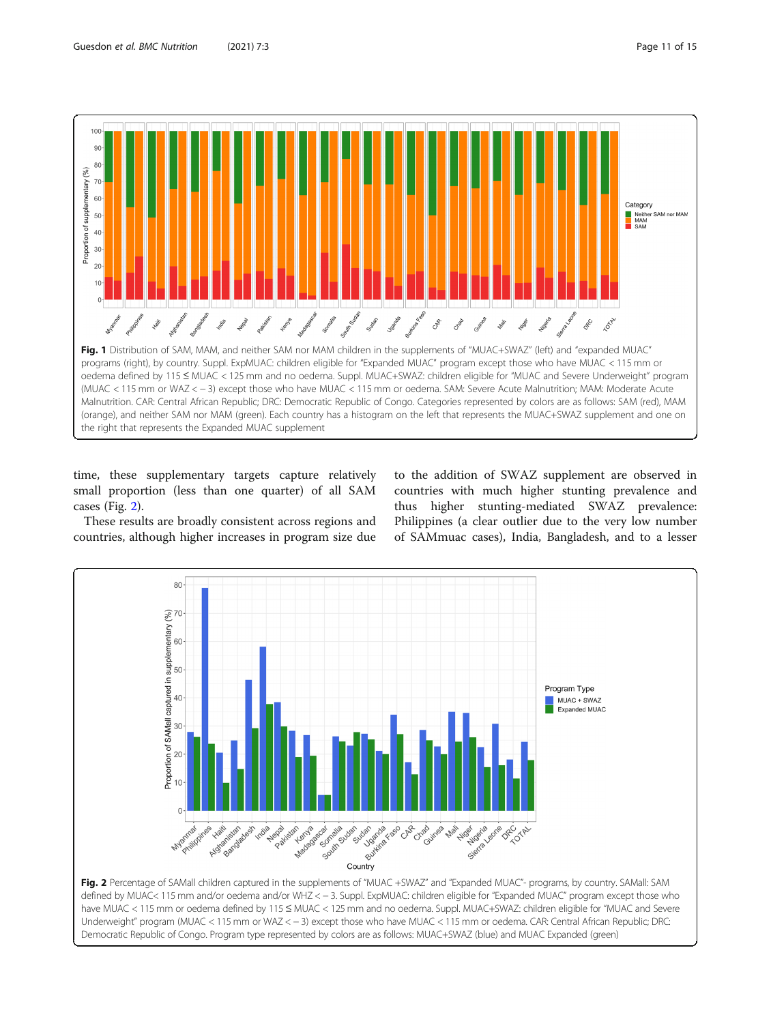<span id="page-10-0"></span>

time, these supplementary targets capture relatively small proportion (less than one quarter) of all SAM cases (Fig. 2).

These results are broadly consistent across regions and countries, although higher increases in program size due

to the addition of SWAZ supplement are observed in countries with much higher stunting prevalence and thus higher stunting-mediated SWAZ prevalence: Philippines (a clear outlier due to the very low number of SAMmuac cases), India, Bangladesh, and to a lesser



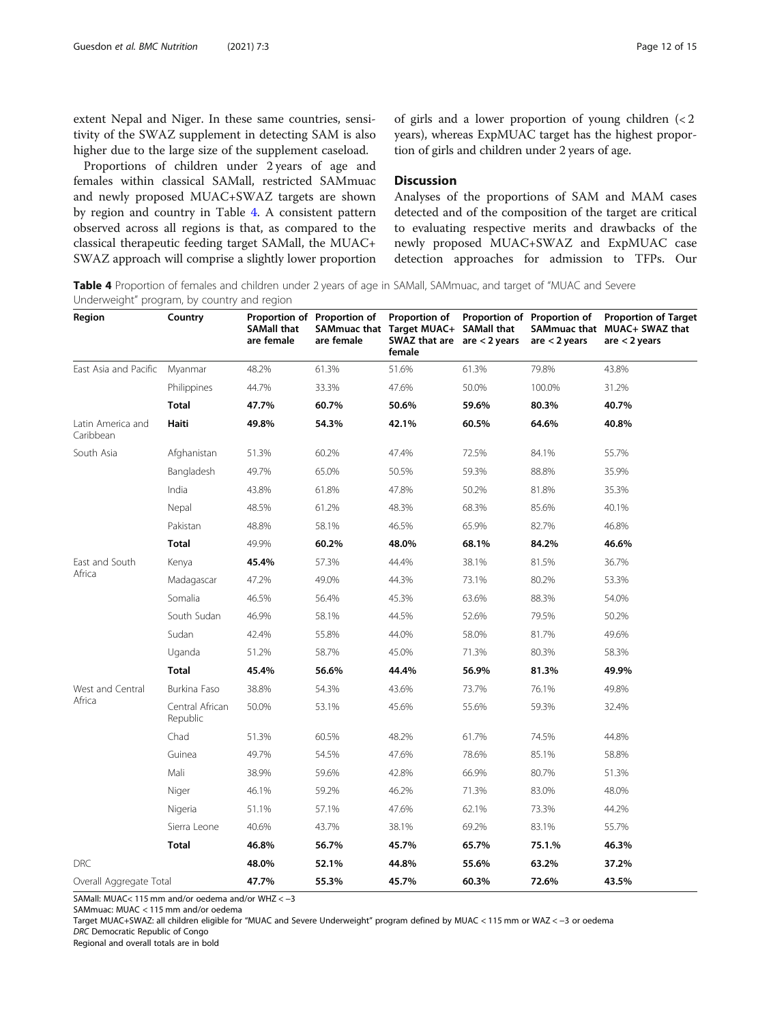extent Nepal and Niger. In these same countries, sensitivity of the SWAZ supplement in detecting SAM is also higher due to the large size of the supplement caseload.

Proportions of children under 2 years of age and females within classical SAMall, restricted SAMmuac and newly proposed MUAC+SWAZ targets are shown by region and country in Table 4. A consistent pattern observed across all regions is that, as compared to the classical therapeutic feeding target SAMall, the MUAC+ SWAZ approach will comprise a slightly lower proportion of girls and a lower proportion of young children (< 2 years), whereas ExpMUAC target has the highest proportion of girls and children under 2 years of age.

# **Discussion**

Analyses of the proportions of SAM and MAM cases detected and of the composition of the target are critical to evaluating respective merits and drawbacks of the newly proposed MUAC+SWAZ and ExpMUAC case detection approaches for admission to TFPs. Our

Table 4 Proportion of females and children under 2 years of age in SAMall, SAMmuac, and target of "MUAC and Severe Underweight" program, by country and region

| Region                         | Country                     | <b>SAMall that</b><br>are female | Proportion of Proportion of<br>are female | Proportion of<br>SAMmuac that Target MUAC+ SAMall that<br>SWAZ that are $are < 2$ years<br>female |       | Proportion of Proportion of<br>are $<$ 2 years | <b>Proportion of Target</b><br>SAMmuac that MUAC+ SWAZ that<br>are $<$ 2 years |
|--------------------------------|-----------------------------|----------------------------------|-------------------------------------------|---------------------------------------------------------------------------------------------------|-------|------------------------------------------------|--------------------------------------------------------------------------------|
| East Asia and Pacific          | Myanmar                     | 48.2%                            | 61.3%                                     | 51.6%                                                                                             | 61.3% | 79.8%                                          | 43.8%                                                                          |
|                                | Philippines                 | 44.7%                            | 33.3%                                     | 47.6%                                                                                             | 50.0% | 100.0%                                         | 31.2%                                                                          |
|                                | <b>Total</b>                | 47.7%                            | 60.7%                                     | 50.6%                                                                                             | 59.6% | 80.3%                                          | 40.7%                                                                          |
| Latin America and<br>Caribbean | Haiti                       | 49.8%                            | 54.3%                                     | 42.1%                                                                                             | 60.5% | 64.6%                                          | 40.8%                                                                          |
| South Asia                     | Afghanistan                 | 51.3%                            | 60.2%                                     | 47.4%                                                                                             | 72.5% | 84.1%                                          | 55.7%                                                                          |
|                                | Bangladesh                  | 49.7%                            | 65.0%                                     | 50.5%                                                                                             | 59.3% | 88.8%                                          | 35.9%                                                                          |
|                                | India                       | 43.8%                            | 61.8%                                     | 47.8%                                                                                             | 50.2% | 81.8%                                          | 35.3%                                                                          |
|                                | Nepal                       | 48.5%                            | 61.2%                                     | 48.3%                                                                                             | 68.3% | 85.6%                                          | 40.1%                                                                          |
|                                | Pakistan                    | 48.8%                            | 58.1%                                     | 46.5%                                                                                             | 65.9% | 82.7%                                          | 46.8%                                                                          |
|                                | Total                       | 49.9%                            | 60.2%                                     | 48.0%                                                                                             | 68.1% | 84.2%                                          | 46.6%                                                                          |
| East and South                 | Kenya                       | 45.4%                            | 57.3%                                     | 44.4%                                                                                             | 38.1% | 81.5%                                          | 36.7%                                                                          |
| Africa                         | Madagascar                  | 47.2%                            | 49.0%                                     | 44.3%                                                                                             | 73.1% | 80.2%                                          | 53.3%                                                                          |
|                                | Somalia                     | 46.5%                            | 56.4%                                     | 45.3%                                                                                             | 63.6% | 88.3%                                          | 54.0%                                                                          |
|                                | South Sudan                 | 46.9%                            | 58.1%                                     | 44.5%                                                                                             | 52.6% | 79.5%                                          | 50.2%                                                                          |
|                                | Sudan                       | 42.4%                            | 55.8%                                     | 44.0%                                                                                             | 58.0% | 81.7%                                          | 49.6%                                                                          |
|                                | Uganda                      | 51.2%                            | 58.7%                                     | 45.0%                                                                                             | 71.3% | 80.3%                                          | 58.3%                                                                          |
|                                | <b>Total</b>                | 45.4%                            | 56.6%                                     | 44.4%                                                                                             | 56.9% | 81.3%                                          | 49.9%                                                                          |
| West and Central               | Burkina Faso                | 38.8%                            | 54.3%                                     | 43.6%                                                                                             | 73.7% | 76.1%                                          | 49.8%                                                                          |
| Africa                         | Central African<br>Republic | 50.0%                            | 53.1%                                     | 45.6%                                                                                             | 55.6% | 59.3%                                          | 32.4%                                                                          |
|                                | Chad                        | 51.3%                            | 60.5%                                     | 48.2%                                                                                             | 61.7% | 74.5%                                          | 44.8%                                                                          |
|                                | Guinea                      | 49.7%                            | 54.5%                                     | 47.6%                                                                                             | 78.6% | 85.1%                                          | 58.8%                                                                          |
|                                | Mali                        | 38.9%                            | 59.6%                                     | 42.8%                                                                                             | 66.9% | 80.7%                                          | 51.3%                                                                          |
|                                | Niger                       | 46.1%                            | 59.2%                                     | 46.2%                                                                                             | 71.3% | 83.0%                                          | 48.0%                                                                          |
|                                | Nigeria                     | 51.1%                            | 57.1%                                     | 47.6%                                                                                             | 62.1% | 73.3%                                          | 44.2%                                                                          |
|                                | Sierra Leone                | 40.6%                            | 43.7%                                     | 38.1%                                                                                             | 69.2% | 83.1%                                          | 55.7%                                                                          |
|                                | <b>Total</b>                | 46.8%                            | 56.7%                                     | 45.7%                                                                                             | 65.7% | 75.1.%                                         | 46.3%                                                                          |
| <b>DRC</b>                     |                             | 48.0%                            | 52.1%                                     | 44.8%                                                                                             | 55.6% | 63.2%                                          | 37.2%                                                                          |
| Overall Aggregate Total        |                             | 47.7%                            | 55.3%                                     | 45.7%                                                                                             | 60.3% | 72.6%                                          | 43.5%                                                                          |

SAMall: MUAC< 115 mm and/or oedema and/or WHZ < −3

SAMmuac: MUAC < 115 mm and/or oedema

Target MUAC+SWAZ: all children eligible for "MUAC and Severe Underweight" program defined by MUAC < 115 mm or WAZ < −3 or oedema DRC Democratic Republic of Congo

Regional and overall totals are in bold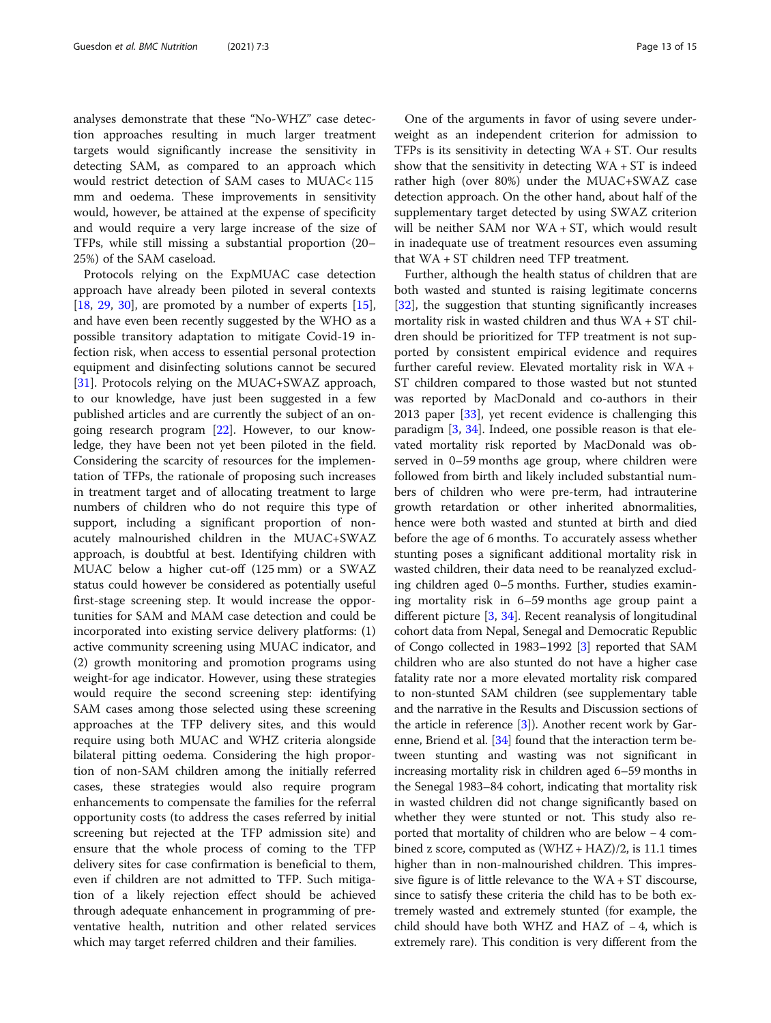analyses demonstrate that these "No-WHZ" case detection approaches resulting in much larger treatment targets would significantly increase the sensitivity in detecting SAM, as compared to an approach which would restrict detection of SAM cases to MUAC< 115 mm and oedema. These improvements in sensitivity would, however, be attained at the expense of specificity and would require a very large increase of the size of TFPs, while still missing a substantial proportion (20– 25%) of the SAM caseload.

Protocols relying on the ExpMUAC case detection approach have already been piloted in several contexts [[18,](#page-14-0) [29](#page-14-0), [30](#page-14-0)], are promoted by a number of experts  $[15]$  $[15]$ , and have even been recently suggested by the WHO as a possible transitory adaptation to mitigate Covid-19 infection risk, when access to essential personal protection equipment and disinfecting solutions cannot be secured [[31\]](#page-14-0). Protocols relying on the MUAC+SWAZ approach, to our knowledge, have just been suggested in a few published articles and are currently the subject of an ongoing research program [\[22](#page-14-0)]. However, to our knowledge, they have been not yet been piloted in the field. Considering the scarcity of resources for the implementation of TFPs, the rationale of proposing such increases in treatment target and of allocating treatment to large numbers of children who do not require this type of support, including a significant proportion of nonacutely malnourished children in the MUAC+SWAZ approach, is doubtful at best. Identifying children with MUAC below a higher cut-off (125 mm) or a SWAZ status could however be considered as potentially useful first-stage screening step. It would increase the opportunities for SAM and MAM case detection and could be incorporated into existing service delivery platforms: (1) active community screening using MUAC indicator, and (2) growth monitoring and promotion programs using weight-for age indicator. However, using these strategies would require the second screening step: identifying SAM cases among those selected using these screening approaches at the TFP delivery sites, and this would require using both MUAC and WHZ criteria alongside bilateral pitting oedema. Considering the high proportion of non-SAM children among the initially referred cases, these strategies would also require program enhancements to compensate the families for the referral opportunity costs (to address the cases referred by initial screening but rejected at the TFP admission site) and ensure that the whole process of coming to the TFP delivery sites for case confirmation is beneficial to them, even if children are not admitted to TFP. Such mitigation of a likely rejection effect should be achieved through adequate enhancement in programming of preventative health, nutrition and other related services which may target referred children and their families.

One of the arguments in favor of using severe underweight as an independent criterion for admission to TFPs is its sensitivity in detecting WA + ST. Our results show that the sensitivity in detecting  $WA + ST$  is indeed rather high (over 80%) under the MUAC+SWAZ case detection approach. On the other hand, about half of the supplementary target detected by using SWAZ criterion will be neither SAM nor WA + ST, which would result in inadequate use of treatment resources even assuming that WA + ST children need TFP treatment.

Further, although the health status of children that are both wasted and stunted is raising legitimate concerns [[32\]](#page-14-0), the suggestion that stunting significantly increases mortality risk in wasted children and thus WA + ST children should be prioritized for TFP treatment is not supported by consistent empirical evidence and requires further careful review. Elevated mortality risk in WA + ST children compared to those wasted but not stunted was reported by MacDonald and co-authors in their 2013 paper [[33](#page-14-0)], yet recent evidence is challenging this paradigm [\[3](#page-14-0), [34](#page-14-0)]. Indeed, one possible reason is that elevated mortality risk reported by MacDonald was observed in 0–59 months age group, where children were followed from birth and likely included substantial numbers of children who were pre-term, had intrauterine growth retardation or other inherited abnormalities, hence were both wasted and stunted at birth and died before the age of 6 months. To accurately assess whether stunting poses a significant additional mortality risk in wasted children, their data need to be reanalyzed excluding children aged 0–5 months. Further, studies examining mortality risk in 6–59 months age group paint a different picture  $[3, 34]$  $[3, 34]$  $[3, 34]$  $[3, 34]$ . Recent reanalysis of longitudinal cohort data from Nepal, Senegal and Democratic Republic of Congo collected in 1983–1992 [[3](#page-14-0)] reported that SAM children who are also stunted do not have a higher case fatality rate nor a more elevated mortality risk compared to non-stunted SAM children (see supplementary table and the narrative in the Results and Discussion sections of the article in reference [[3](#page-14-0)]). Another recent work by Garenne, Briend et al. [[34](#page-14-0)] found that the interaction term between stunting and wasting was not significant in increasing mortality risk in children aged 6–59 months in the Senegal 1983–84 cohort, indicating that mortality risk in wasted children did not change significantly based on whether they were stunted or not. This study also reported that mortality of children who are below − 4 combined z score, computed as  $(WHZ + HAZ)/2$ , is 11.1 times higher than in non-malnourished children. This impressive figure is of little relevance to the WA + ST discourse, since to satisfy these criteria the child has to be both extremely wasted and extremely stunted (for example, the child should have both WHZ and HAZ of − 4, which is extremely rare). This condition is very different from the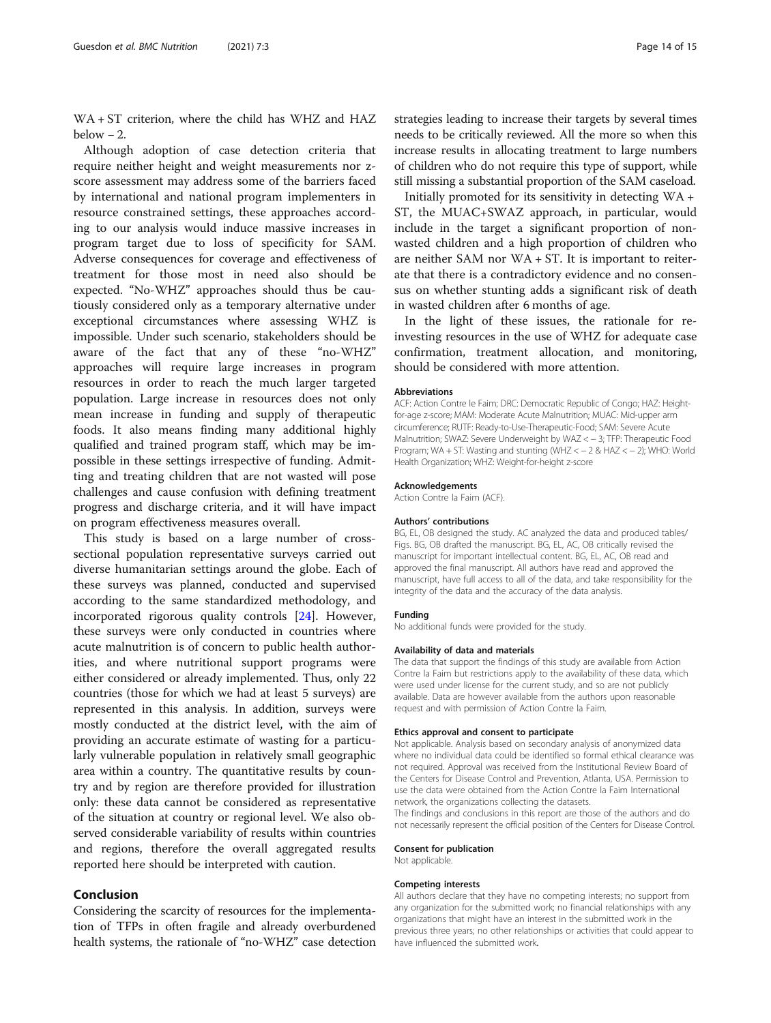WA + ST criterion, where the child has WHZ and HAZ below  $-2$ .

Although adoption of case detection criteria that require neither height and weight measurements nor zscore assessment may address some of the barriers faced by international and national program implementers in resource constrained settings, these approaches according to our analysis would induce massive increases in program target due to loss of specificity for SAM. Adverse consequences for coverage and effectiveness of treatment for those most in need also should be expected. "No-WHZ" approaches should thus be cautiously considered only as a temporary alternative under exceptional circumstances where assessing WHZ is impossible. Under such scenario, stakeholders should be aware of the fact that any of these "no-WHZ" approaches will require large increases in program resources in order to reach the much larger targeted population. Large increase in resources does not only mean increase in funding and supply of therapeutic foods. It also means finding many additional highly qualified and trained program staff, which may be impossible in these settings irrespective of funding. Admitting and treating children that are not wasted will pose challenges and cause confusion with defining treatment progress and discharge criteria, and it will have impact on program effectiveness measures overall.

This study is based on a large number of crosssectional population representative surveys carried out diverse humanitarian settings around the globe. Each of these surveys was planned, conducted and supervised according to the same standardized methodology, and incorporated rigorous quality controls [[24\]](#page-14-0). However, these surveys were only conducted in countries where acute malnutrition is of concern to public health authorities, and where nutritional support programs were either considered or already implemented. Thus, only 22 countries (those for which we had at least 5 surveys) are represented in this analysis. In addition, surveys were mostly conducted at the district level, with the aim of providing an accurate estimate of wasting for a particularly vulnerable population in relatively small geographic area within a country. The quantitative results by country and by region are therefore provided for illustration only: these data cannot be considered as representative of the situation at country or regional level. We also observed considerable variability of results within countries and regions, therefore the overall aggregated results reported here should be interpreted with caution.

# Conclusion

Considering the scarcity of resources for the implementation of TFPs in often fragile and already overburdened health systems, the rationale of "no-WHZ" case detection strategies leading to increase their targets by several times needs to be critically reviewed. All the more so when this increase results in allocating treatment to large numbers of children who do not require this type of support, while still missing a substantial proportion of the SAM caseload.

Initially promoted for its sensitivity in detecting WA + ST, the MUAC+SWAZ approach, in particular, would include in the target a significant proportion of nonwasted children and a high proportion of children who are neither SAM nor WA + ST. It is important to reiterate that there is a contradictory evidence and no consensus on whether stunting adds a significant risk of death in wasted children after 6 months of age.

In the light of these issues, the rationale for reinvesting resources in the use of WHZ for adequate case confirmation, treatment allocation, and monitoring, should be considered with more attention.

#### Abbreviations

ACF: Action Contre le Faim; DRC: Democratic Republic of Congo; HAZ: Heightfor-age z-score; MAM: Moderate Acute Malnutrition; MUAC: Mid-upper arm circumference; RUTF: Ready-to-Use-Therapeutic-Food; SAM: Severe Acute Malnutrition; SWAZ: Severe Underweight by WAZ < − 3; TFP: Therapeutic Food Program; WA + ST: Wasting and stunting (WHZ < − 2 & HAZ < − 2); WHO: World Health Organization; WHZ: Weight-for-height z-score

#### Acknowledgements

Action Contre la Faim (ACF).

#### Authors' contributions

BG, EL, OB designed the study. AC analyzed the data and produced tables/ Figs. BG, OB drafted the manuscript. BG, EL, AC, OB critically revised the manuscript for important intellectual content. BG, EL, AC, OB read and approved the final manuscript. All authors have read and approved the manuscript, have full access to all of the data, and take responsibility for the integrity of the data and the accuracy of the data analysis.

#### Funding

No additional funds were provided for the study.

#### Availability of data and materials

The data that support the findings of this study are available from Action Contre la Faim but restrictions apply to the availability of these data, which were used under license for the current study, and so are not publicly available. Data are however available from the authors upon reasonable request and with permission of Action Contre la Faim.

#### Ethics approval and consent to participate

Not applicable. Analysis based on secondary analysis of anonymized data where no individual data could be identified so formal ethical clearance was not required. Approval was received from the Institutional Review Board of the Centers for Disease Control and Prevention, Atlanta, USA. Permission to use the data were obtained from the Action Contre la Faim International network, the organizations collecting the datasets.

The findings and conclusions in this report are those of the authors and do not necessarily represent the official position of the Centers for Disease Control.

#### Consent for publication

Not applicable.

#### Competing interests

All authors declare that they have no competing interests; no support from any organization for the submitted work; no financial relationships with any organizations that might have an interest in the submitted work in the previous three years; no other relationships or activities that could appear to have influenced the submitted work.